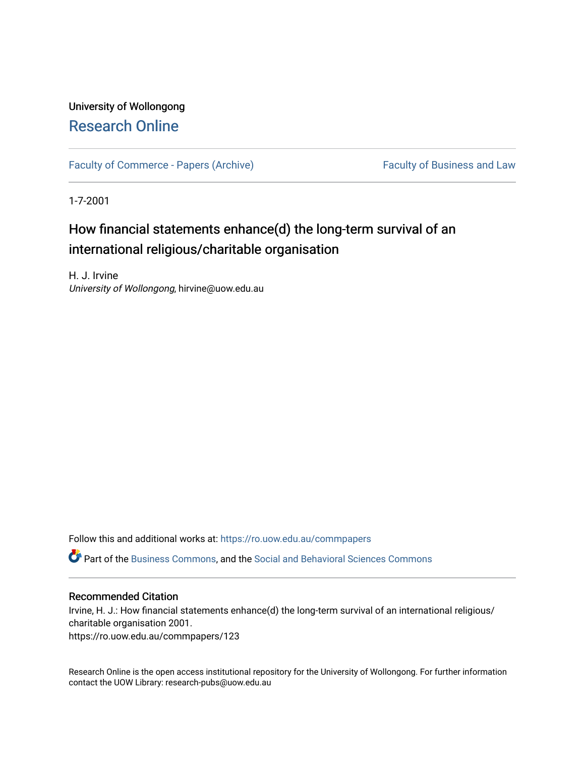# University of Wollongong [Research Online](https://ro.uow.edu.au/)

[Faculty of Commerce - Papers \(Archive\)](https://ro.uow.edu.au/commpapers) Faculty of Business and Law

1-7-2001

# How financial statements enhance(d) the long-term survival of an international religious/charitable organisation

H. J. Irvine University of Wollongong, hirvine@uow.edu.au

Follow this and additional works at: [https://ro.uow.edu.au/commpapers](https://ro.uow.edu.au/commpapers?utm_source=ro.uow.edu.au%2Fcommpapers%2F123&utm_medium=PDF&utm_campaign=PDFCoverPages) 

Part of the [Business Commons](http://network.bepress.com/hgg/discipline/622?utm_source=ro.uow.edu.au%2Fcommpapers%2F123&utm_medium=PDF&utm_campaign=PDFCoverPages), and the [Social and Behavioral Sciences Commons](http://network.bepress.com/hgg/discipline/316?utm_source=ro.uow.edu.au%2Fcommpapers%2F123&utm_medium=PDF&utm_campaign=PDFCoverPages) 

# Recommended Citation

Irvine, H. J.: How financial statements enhance(d) the long-term survival of an international religious/ charitable organisation 2001.

https://ro.uow.edu.au/commpapers/123

Research Online is the open access institutional repository for the University of Wollongong. For further information contact the UOW Library: research-pubs@uow.edu.au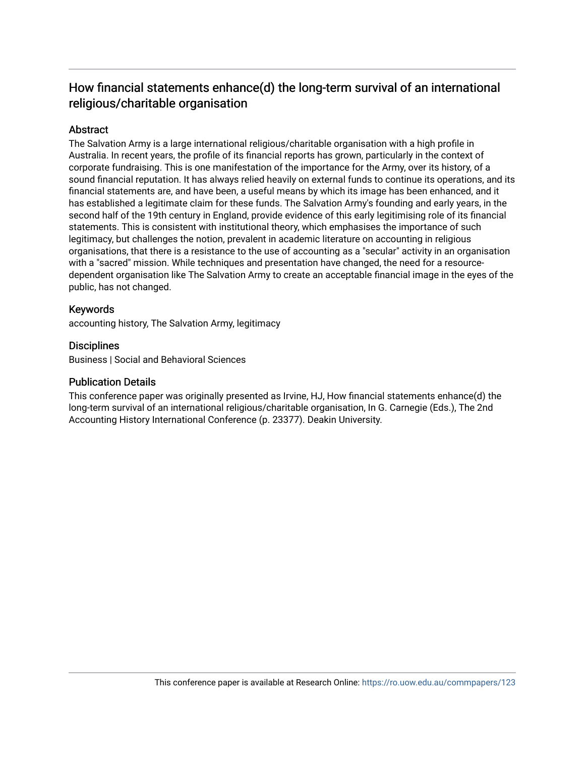# How financial statements enhance(d) the long-term survival of an international religious/charitable organisation

# **Abstract**

The Salvation Army is a large international religious/charitable organisation with a high profile in Australia. In recent years, the profile of its financial reports has grown, particularly in the context of corporate fundraising. This is one manifestation of the importance for the Army, over its history, of a sound financial reputation. It has always relied heavily on external funds to continue its operations, and its financial statements are, and have been, a useful means by which its image has been enhanced, and it has established a legitimate claim for these funds. The Salvation Army's founding and early years, in the second half of the 19th century in England, provide evidence of this early legitimising role of its financial statements. This is consistent with institutional theory, which emphasises the importance of such legitimacy, but challenges the notion, prevalent in academic literature on accounting in religious organisations, that there is a resistance to the use of accounting as a "secular" activity in an organisation with a "sacred" mission. While techniques and presentation have changed, the need for a resourcedependent organisation like The Salvation Army to create an acceptable financial image in the eyes of the public, has not changed.

# Keywords

accounting history, The Salvation Army, legitimacy

# **Disciplines**

Business | Social and Behavioral Sciences

# Publication Details

This conference paper was originally presented as Irvine, HJ, How financial statements enhance(d) the long-term survival of an international religious/charitable organisation, In G. Carnegie (Eds.), The 2nd Accounting History International Conference (p. 23377). Deakin University.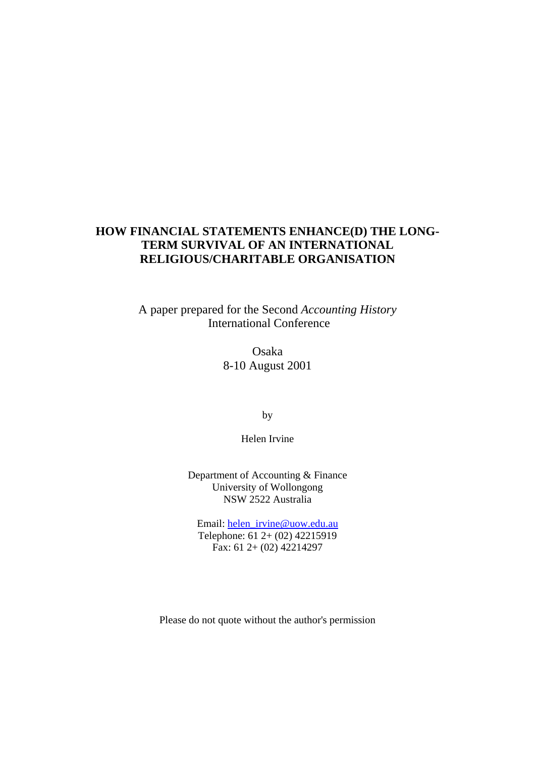# **HOW FINANCIAL STATEMENTS ENHANCE(D) THE LONG-TERM SURVIVAL OF AN INTERNATIONAL RELIGIOUS/CHARITABLE ORGANISATION**

A paper prepared for the Second *Accounting History*  International Conference

> Osaka 8-10 August 2001

> > by

Helen Irvine

Department of Accounting & Finance University of Wollongong NSW 2522 Australia

Email: helen\_irvine@uow.edu.au Telephone: 61 2+ (02) 42215919 Fax: 61 2+ (02) 42214297

Please do not quote without the author's permission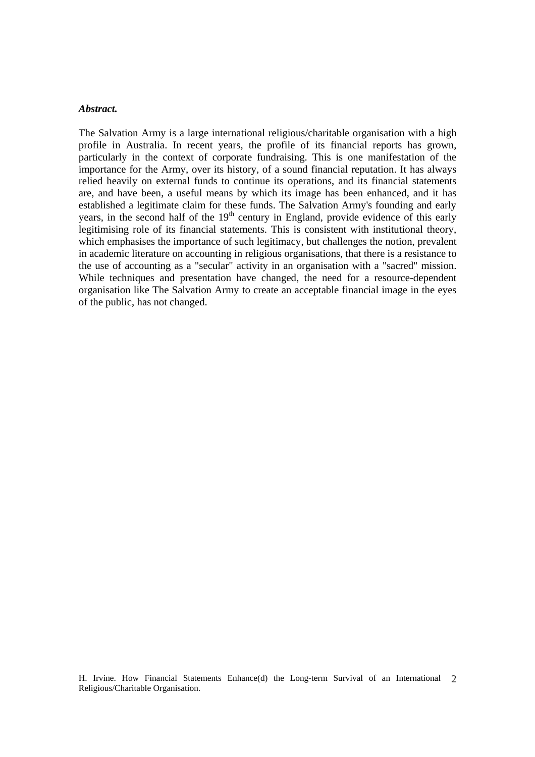#### *Abstract.*

The Salvation Army is a large international religious/charitable organisation with a high profile in Australia. In recent years, the profile of its financial reports has grown, particularly in the context of corporate fundraising. This is one manifestation of the importance for the Army, over its history, of a sound financial reputation. It has always relied heavily on external funds to continue its operations, and its financial statements are, and have been, a useful means by which its image has been enhanced, and it has established a legitimate claim for these funds. The Salvation Army's founding and early years, in the second half of the  $19<sup>th</sup>$  century in England, provide evidence of this early legitimising role of its financial statements. This is consistent with institutional theory, which emphasises the importance of such legitimacy, but challenges the notion, prevalent in academic literature on accounting in religious organisations, that there is a resistance to the use of accounting as a "secular" activity in an organisation with a "sacred" mission. While techniques and presentation have changed, the need for a resource-dependent organisation like The Salvation Army to create an acceptable financial image in the eyes of the public, has not changed.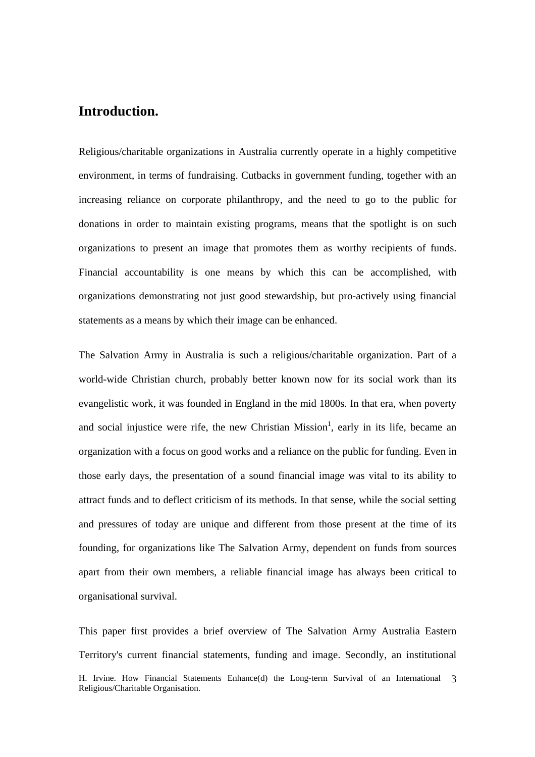# **Introduction.**

Religious/charitable organizations in Australia currently operate in a highly competitive environment, in terms of fundraising. Cutbacks in government funding, together with an increasing reliance on corporate philanthropy, and the need to go to the public for donations in order to maintain existing programs, means that the spotlight is on such organizations to present an image that promotes them as worthy recipients of funds. Financial accountability is one means by which this can be accomplished, with organizations demonstrating not just good stewardship, but pro-actively using financial statements as a means by which their image can be enhanced.

The Salvation Army in Australia is such a religious/charitable organization. Part of a world-wide Christian church, probably better known now for its social work than its evangelistic work, it was founded in England in the mid 1800s. In that era, when poverty and social injustice were rife, the new Christian Mission<sup>1</sup>, early in its life, became an organization with a focus on good works and a reliance on the public for funding. Even in those early days, the presentation of a sound financial image was vital to its ability to attract funds and to deflect criticism of its methods. In that sense, while the social setting and pressures of today are unique and different from those present at the time of its founding, for organizations like The Salvation Army, dependent on funds from sources apart from their own members, a reliable financial image has always been critical to organisational survival.

H. Irvine. How Financial Statements Enhance(d) the Long-term Survival of an International 3 Religious/Charitable Organisation. This paper first provides a brief overview of The Salvation Army Australia Eastern Territory's current financial statements, funding and image. Secondly, an institutional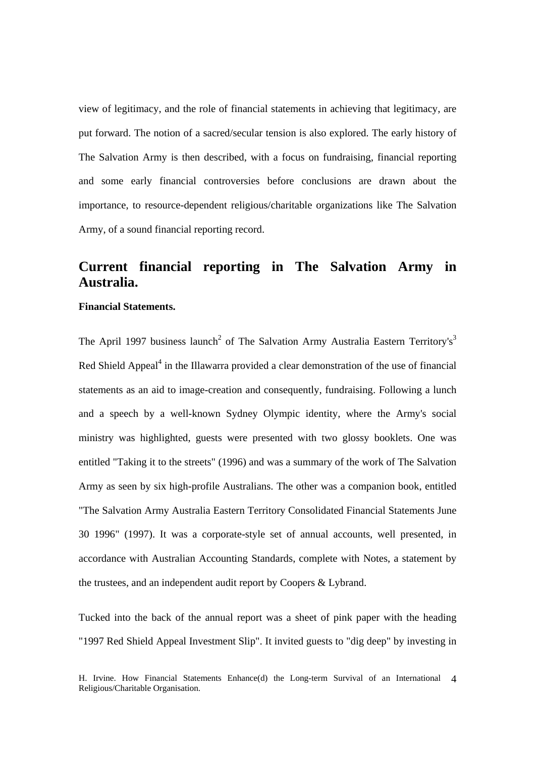view of legitimacy, and the role of financial statements in achieving that legitimacy, are put forward. The notion of a sacred/secular tension is also explored. The early history of The Salvation Army is then described, with a focus on fundraising, financial reporting and some early financial controversies before conclusions are drawn about the importance, to resource-dependent religious/charitable organizations like The Salvation Army, of a sound financial reporting record.

# **Current financial reporting in The Salvation Army in Australia.**

# **Financial Statements.**

The April 1997 business launch<sup>2</sup> of The Salvation Army Australia Eastern Territory's<sup>3</sup> Red Shield Appeal $<sup>4</sup>$  in the Illawarra provided a clear demonstration of the use of financial</sup> statements as an aid to image-creation and consequently, fundraising. Following a lunch and a speech by a well-known Sydney Olympic identity, where the Army's social ministry was highlighted, guests were presented with two glossy booklets. One was entitled "Taking it to the streets" (1996) and was a summary of the work of The Salvation Army as seen by six high-profile Australians. The other was a companion book, entitled "The Salvation Army Australia Eastern Territory Consolidated Financial Statements June 30 1996" (1997). It was a corporate-style set of annual accounts, well presented, in accordance with Australian Accounting Standards, complete with Notes, a statement by the trustees, and an independent audit report by Coopers & Lybrand.

Tucked into the back of the annual report was a sheet of pink paper with the heading "1997 Red Shield Appeal Investment Slip". It invited guests to "dig deep" by investing in

H. Irvine. How Financial Statements Enhance(d) the Long-term Survival of an International 4 Religious/Charitable Organisation.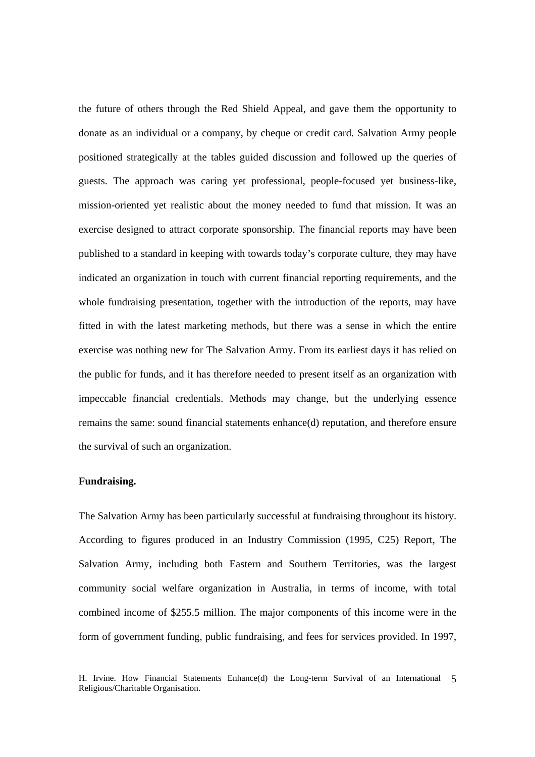the future of others through the Red Shield Appeal, and gave them the opportunity to donate as an individual or a company, by cheque or credit card. Salvation Army people positioned strategically at the tables guided discussion and followed up the queries of guests. The approach was caring yet professional, people-focused yet business-like, mission-oriented yet realistic about the money needed to fund that mission. It was an exercise designed to attract corporate sponsorship. The financial reports may have been published to a standard in keeping with towards today's corporate culture, they may have indicated an organization in touch with current financial reporting requirements, and the whole fundraising presentation, together with the introduction of the reports, may have fitted in with the latest marketing methods, but there was a sense in which the entire exercise was nothing new for The Salvation Army. From its earliest days it has relied on the public for funds, and it has therefore needed to present itself as an organization with impeccable financial credentials. Methods may change, but the underlying essence remains the same: sound financial statements enhance(d) reputation, and therefore ensure the survival of such an organization.

### **Fundraising.**

The Salvation Army has been particularly successful at fundraising throughout its history. According to figures produced in an Industry Commission (1995, C25) Report, The Salvation Army, including both Eastern and Southern Territories, was the largest community social welfare organization in Australia, in terms of income, with total combined income of \$255.5 million. The major components of this income were in the form of government funding, public fundraising, and fees for services provided. In 1997,

H. Irvine. How Financial Statements Enhance(d) the Long-term Survival of an International 5 Religious/Charitable Organisation.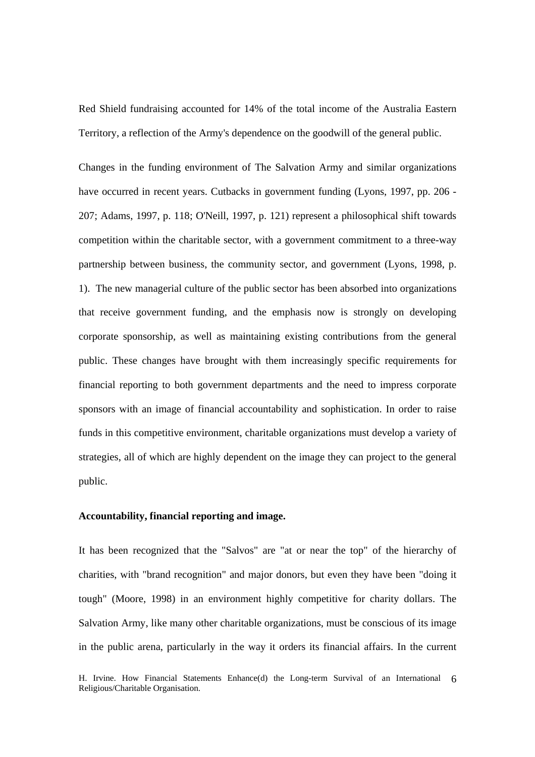Red Shield fundraising accounted for 14% of the total income of the Australia Eastern Territory, a reflection of the Army's dependence on the goodwill of the general public.

Changes in the funding environment of The Salvation Army and similar organizations have occurred in recent years. Cutbacks in government funding (Lyons, 1997, pp. 206 - 207; Adams, 1997, p. 118; O'Neill, 1997, p. 121) represent a philosophical shift towards competition within the charitable sector, with a government commitment to a three-way partnership between business, the community sector, and government (Lyons, 1998, p. 1). The new managerial culture of the public sector has been absorbed into organizations that receive government funding, and the emphasis now is strongly on developing corporate sponsorship, as well as maintaining existing contributions from the general public. These changes have brought with them increasingly specific requirements for financial reporting to both government departments and the need to impress corporate sponsors with an image of financial accountability and sophistication. In order to raise funds in this competitive environment, charitable organizations must develop a variety of strategies, all of which are highly dependent on the image they can project to the general public.

## **Accountability, financial reporting and image.**

It has been recognized that the "Salvos" are "at or near the top" of the hierarchy of charities, with "brand recognition" and major donors, but even they have been "doing it tough" (Moore, 1998) in an environment highly competitive for charity dollars. The Salvation Army, like many other charitable organizations, must be conscious of its image in the public arena, particularly in the way it orders its financial affairs. In the current

H. Irvine. How Financial Statements Enhance(d) the Long-term Survival of an International 6 Religious/Charitable Organisation.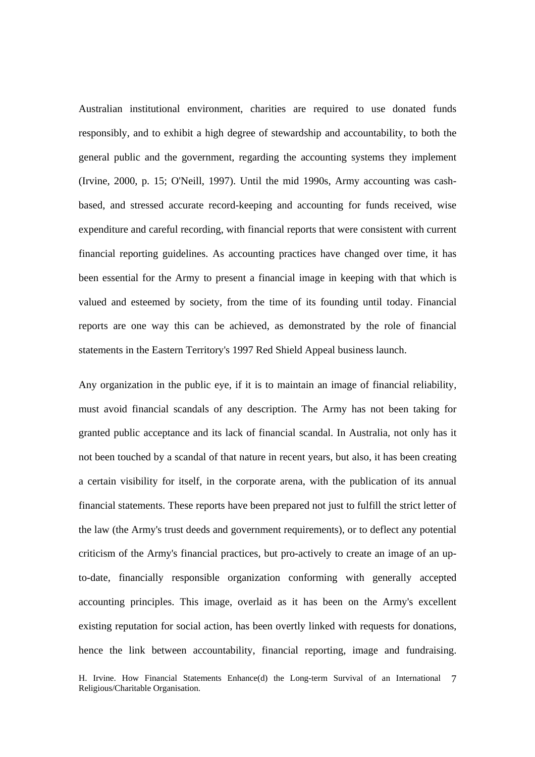Australian institutional environment, charities are required to use donated funds responsibly, and to exhibit a high degree of stewardship and accountability, to both the general public and the government, regarding the accounting systems they implement (Irvine, 2000, p. 15; O'Neill, 1997). Until the mid 1990s, Army accounting was cashbased, and stressed accurate record-keeping and accounting for funds received, wise expenditure and careful recording, with financial reports that were consistent with current financial reporting guidelines. As accounting practices have changed over time, it has been essential for the Army to present a financial image in keeping with that which is valued and esteemed by society, from the time of its founding until today. Financial reports are one way this can be achieved, as demonstrated by the role of financial statements in the Eastern Territory's 1997 Red Shield Appeal business launch.

Any organization in the public eye, if it is to maintain an image of financial reliability, must avoid financial scandals of any description. The Army has not been taking for granted public acceptance and its lack of financial scandal. In Australia, not only has it not been touched by a scandal of that nature in recent years, but also, it has been creating a certain visibility for itself, in the corporate arena, with the publication of its annual financial statements. These reports have been prepared not just to fulfill the strict letter of the law (the Army's trust deeds and government requirements), or to deflect any potential criticism of the Army's financial practices, but pro-actively to create an image of an upto-date, financially responsible organization conforming with generally accepted accounting principles. This image, overlaid as it has been on the Army's excellent existing reputation for social action, has been overtly linked with requests for donations, hence the link between accountability, financial reporting, image and fundraising.

H. Irvine. How Financial Statements Enhance(d) the Long-term Survival of an International 7 Religious/Charitable Organisation.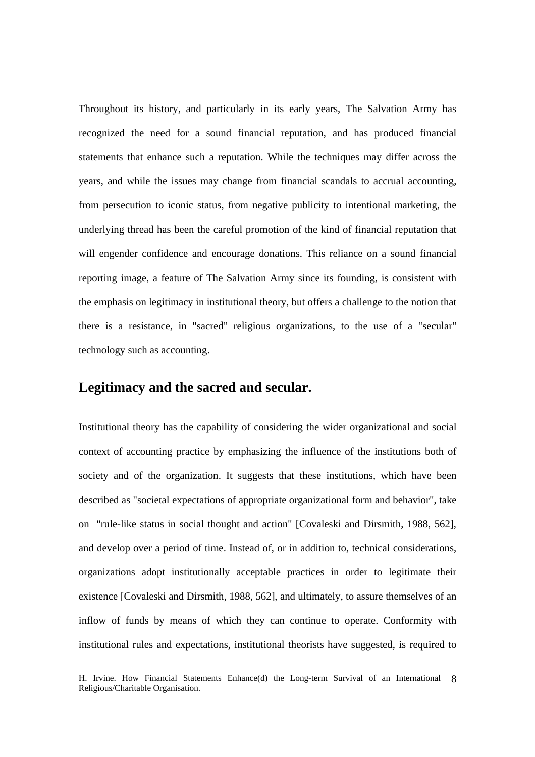Throughout its history, and particularly in its early years, The Salvation Army has recognized the need for a sound financial reputation, and has produced financial statements that enhance such a reputation. While the techniques may differ across the years, and while the issues may change from financial scandals to accrual accounting, from persecution to iconic status, from negative publicity to intentional marketing, the underlying thread has been the careful promotion of the kind of financial reputation that will engender confidence and encourage donations. This reliance on a sound financial reporting image, a feature of The Salvation Army since its founding, is consistent with the emphasis on legitimacy in institutional theory, but offers a challenge to the notion that there is a resistance, in "sacred" religious organizations, to the use of a "secular" technology such as accounting.

# **Legitimacy and the sacred and secular.**

Institutional theory has the capability of considering the wider organizational and social context of accounting practice by emphasizing the influence of the institutions both of society and of the organization. It suggests that these institutions, which have been described as "societal expectations of appropriate organizational form and behavior", take on "rule-like status in social thought and action" [Covaleski and Dirsmith, 1988, 562], and develop over a period of time. Instead of, or in addition to, technical considerations, organizations adopt institutionally acceptable practices in order to legitimate their existence [Covaleski and Dirsmith, 1988, 562], and ultimately, to assure themselves of an inflow of funds by means of which they can continue to operate. Conformity with institutional rules and expectations, institutional theorists have suggested, is required to

H. Irvine. How Financial Statements Enhance(d) the Long-term Survival of an International 8 Religious/Charitable Organisation.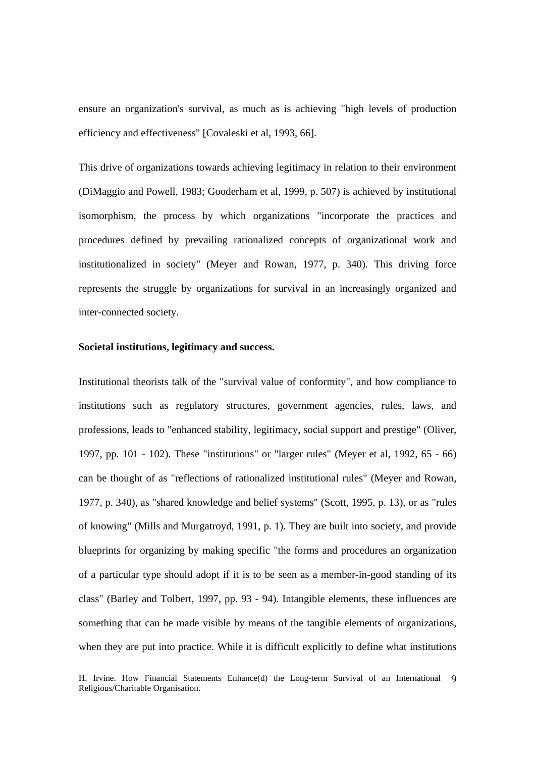ensure an organization's survival, as much as is achieving "high levels of production efficiency and effectiveness" [Covaleski et al, 1993, 66].

This drive of organizations towards achieving legitimacy in relation to their environment (DiMaggio and Powell, 1983; Gooderham et al, 1999, p. 507) is achieved by institutional isomorphism, the process by which organizations "incorporate the practices and procedures defined by prevailing rationalized concepts of organizational work and institutionalized in society" (Meyer and Rowan, 1977, p. 340). This driving force represents the struggle by organizations for survival in an increasingly organized and inter-connected society.

# **Societal institutions, legitimacy and success.**

Institutional theorists talk of the "survival value of conformity", and how compliance to institutions such as regulatory structures, government agencies, rules, laws, and professions, leads to "enhanced stability, legitimacy, social support and prestige" (Oliver, 1997, pp. 101 - 102). These "institutions" or "larger rules" (Meyer et al, 1992, 65 - 66) can be thought of as "reflections of rationalized institutional rules" (Meyer and Rowan, 1977, p. 340), as "shared knowledge and belief systems" (Scott, 1995, p. 13), or as "rules of knowing" (Mills and Murgatroyd, 1991, p. 1). They are built into society, and provide blueprints for organizing by making specific "the forms and procedures an organization of a particular type should adopt if it is to be seen as a member-in-good standing of its class" (Barley and Tolbert, 1997, pp. 93 - 94). Intangible elements, these influences are something that can be made visible by means of the tangible elements of organizations, when they are put into practice. While it is difficult explicitly to define what institutions

H. Irvine. How Financial Statements Enhance(d) the Long-term Survival of an International 9 Religious/Charitable Organisation.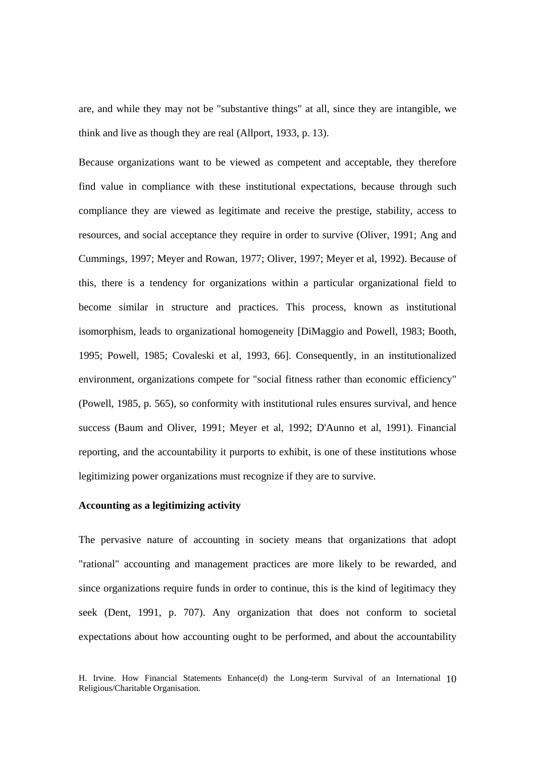are, and while they may not be "substantive things" at all, since they are intangible, we think and live as though they are real (Allport, 1933, p. 13).

Because organizations want to be viewed as competent and acceptable, they therefore find value in compliance with these institutional expectations, because through such compliance they are viewed as legitimate and receive the prestige, stability, access to resources, and social acceptance they require in order to survive (Oliver, 1991; Ang and Cummings, 1997; Meyer and Rowan, 1977; Oliver, 1997; Meyer et al, 1992). Because of this, there is a tendency for organizations within a particular organizational field to become similar in structure and practices. This process, known as institutional isomorphism, leads to organizational homogeneity [DiMaggio and Powell, 1983; Booth, 1995; Powell, 1985; Covaleski et al, 1993, 66]. Consequently, in an institutionalized environment, organizations compete for "social fitness rather than economic efficiency" (Powell, 1985, p. 565), so conformity with institutional rules ensures survival, and hence success (Baum and Oliver, 1991; Meyer et al, 1992; D'Aunno et al, 1991). Financial reporting, and the accountability it purports to exhibit, is one of these institutions whose legitimizing power organizations must recognize if they are to survive.

# **Accounting as a legitimizing activity**

The pervasive nature of accounting in society means that organizations that adopt "rational" accounting and management practices are more likely to be rewarded, and since organizations require funds in order to continue, this is the kind of legitimacy they seek (Dent, 1991, p. 707). Any organization that does not conform to societal expectations about how accounting ought to be performed, and about the accountability

H. Irvine. How Financial Statements Enhance(d) the Long-term Survival of an International 10 Religious/Charitable Organisation.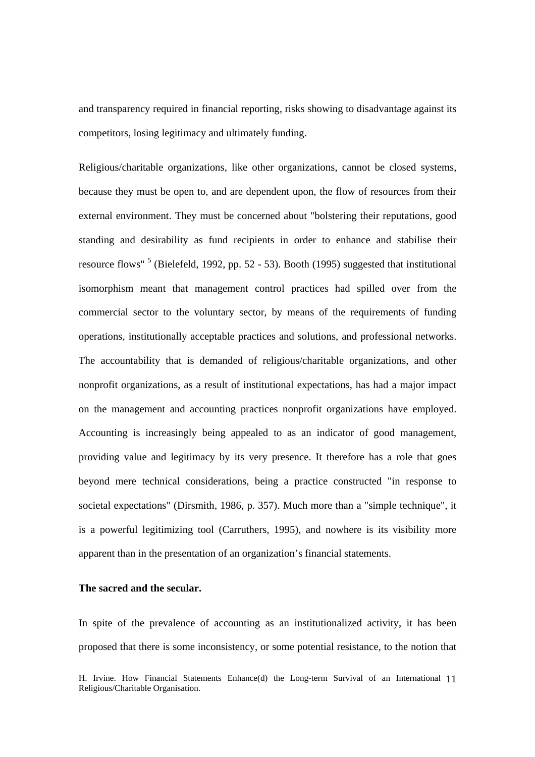and transparency required in financial reporting, risks showing to disadvantage against its competitors, losing legitimacy and ultimately funding.

Religious/charitable organizations, like other organizations, cannot be closed systems, because they must be open to, and are dependent upon, the flow of resources from their external environment. They must be concerned about "bolstering their reputations, good standing and desirability as fund recipients in order to enhance and stabilise their resource flows"<sup>5</sup> (Bielefeld, 1992, pp. 52 - 53). Booth (1995) suggested that institutional isomorphism meant that management control practices had spilled over from the commercial sector to the voluntary sector, by means of the requirements of funding operations, institutionally acceptable practices and solutions, and professional networks. The accountability that is demanded of religious/charitable organizations, and other nonprofit organizations, as a result of institutional expectations, has had a major impact on the management and accounting practices nonprofit organizations have employed. Accounting is increasingly being appealed to as an indicator of good management, providing value and legitimacy by its very presence. It therefore has a role that goes beyond mere technical considerations, being a practice constructed "in response to societal expectations" (Dirsmith, 1986, p. 357). Much more than a "simple technique", it is a powerful legitimizing tool (Carruthers, 1995), and nowhere is its visibility more apparent than in the presentation of an organization's financial statements.

### **The sacred and the secular.**

In spite of the prevalence of accounting as an institutionalized activity, it has been proposed that there is some inconsistency, or some potential resistance, to the notion that

H. Irvine. How Financial Statements Enhance(d) the Long-term Survival of an International 11 Religious/Charitable Organisation.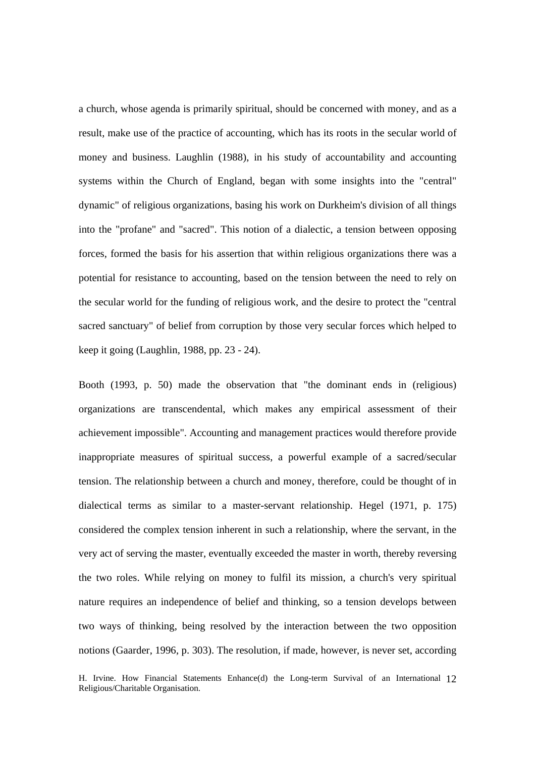a church, whose agenda is primarily spiritual, should be concerned with money, and as a result, make use of the practice of accounting, which has its roots in the secular world of money and business. Laughlin (1988), in his study of accountability and accounting systems within the Church of England, began with some insights into the "central" dynamic" of religious organizations, basing his work on Durkheim's division of all things into the "profane" and "sacred". This notion of a dialectic, a tension between opposing forces, formed the basis for his assertion that within religious organizations there was a potential for resistance to accounting, based on the tension between the need to rely on the secular world for the funding of religious work, and the desire to protect the "central sacred sanctuary" of belief from corruption by those very secular forces which helped to keep it going (Laughlin, 1988, pp. 23 - 24).

Booth (1993, p. 50) made the observation that "the dominant ends in (religious) organizations are transcendental, which makes any empirical assessment of their achievement impossible". Accounting and management practices would therefore provide inappropriate measures of spiritual success, a powerful example of a sacred/secular tension. The relationship between a church and money, therefore, could be thought of in dialectical terms as similar to a master-servant relationship. Hegel (1971, p. 175) considered the complex tension inherent in such a relationship, where the servant, in the very act of serving the master, eventually exceeded the master in worth, thereby reversing the two roles. While relying on money to fulfil its mission, a church's very spiritual nature requires an independence of belief and thinking, so a tension develops between two ways of thinking, being resolved by the interaction between the two opposition notions (Gaarder, 1996, p. 303). The resolution, if made, however, is never set, according

H. Irvine. How Financial Statements Enhance(d) the Long-term Survival of an International 12 Religious/Charitable Organisation.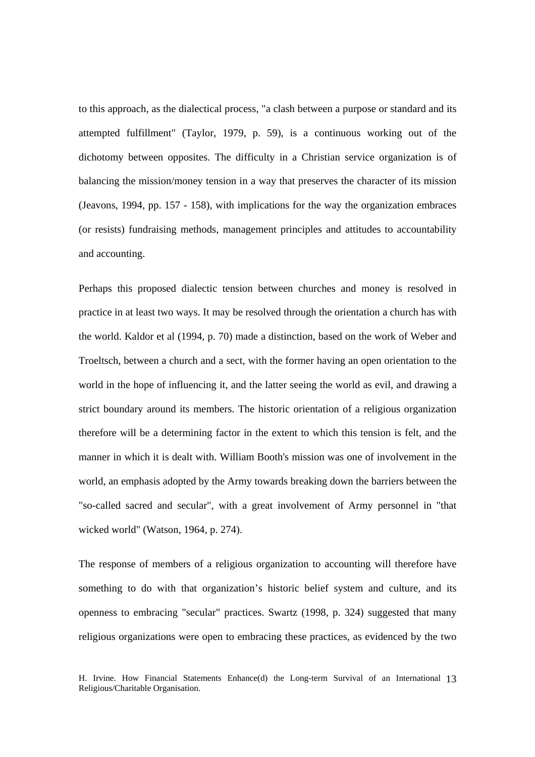to this approach, as the dialectical process, "a clash between a purpose or standard and its attempted fulfillment" (Taylor, 1979, p. 59), is a continuous working out of the dichotomy between opposites. The difficulty in a Christian service organization is of balancing the mission/money tension in a way that preserves the character of its mission (Jeavons, 1994, pp. 157 - 158), with implications for the way the organization embraces (or resists) fundraising methods, management principles and attitudes to accountability and accounting.

Perhaps this proposed dialectic tension between churches and money is resolved in practice in at least two ways. It may be resolved through the orientation a church has with the world. Kaldor et al (1994, p. 70) made a distinction, based on the work of Weber and Troeltsch, between a church and a sect, with the former having an open orientation to the world in the hope of influencing it, and the latter seeing the world as evil, and drawing a strict boundary around its members. The historic orientation of a religious organization therefore will be a determining factor in the extent to which this tension is felt, and the manner in which it is dealt with. William Booth's mission was one of involvement in the world, an emphasis adopted by the Army towards breaking down the barriers between the "so-called sacred and secular", with a great involvement of Army personnel in "that wicked world" (Watson, 1964, p. 274).

The response of members of a religious organization to accounting will therefore have something to do with that organization's historic belief system and culture, and its openness to embracing "secular" practices. Swartz (1998, p. 324) suggested that many religious organizations were open to embracing these practices, as evidenced by the two

H. Irvine. How Financial Statements Enhance(d) the Long-term Survival of an International 13 Religious/Charitable Organisation.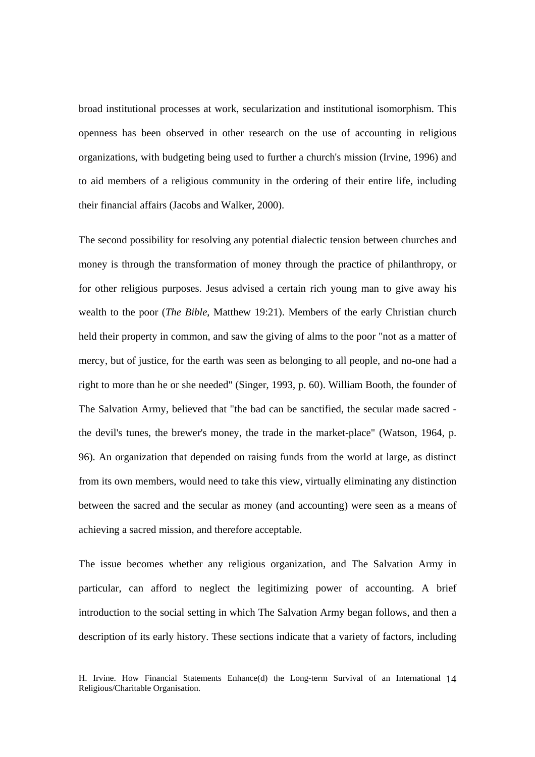broad institutional processes at work, secularization and institutional isomorphism. This openness has been observed in other research on the use of accounting in religious organizations, with budgeting being used to further a church's mission (Irvine, 1996) and to aid members of a religious community in the ordering of their entire life, including their financial affairs (Jacobs and Walker, 2000).

The second possibility for resolving any potential dialectic tension between churches and money is through the transformation of money through the practice of philanthropy, or for other religious purposes. Jesus advised a certain rich young man to give away his wealth to the poor (*The Bible*, Matthew 19:21). Members of the early Christian church held their property in common, and saw the giving of alms to the poor "not as a matter of mercy, but of justice, for the earth was seen as belonging to all people, and no-one had a right to more than he or she needed" (Singer, 1993, p. 60). William Booth, the founder of The Salvation Army, believed that "the bad can be sanctified, the secular made sacred the devil's tunes, the brewer's money, the trade in the market-place" (Watson, 1964, p. 96). An organization that depended on raising funds from the world at large, as distinct from its own members, would need to take this view, virtually eliminating any distinction between the sacred and the secular as money (and accounting) were seen as a means of achieving a sacred mission, and therefore acceptable.

The issue becomes whether any religious organization, and The Salvation Army in particular, can afford to neglect the legitimizing power of accounting. A brief introduction to the social setting in which The Salvation Army began follows, and then a description of its early history. These sections indicate that a variety of factors, including

H. Irvine. How Financial Statements Enhance(d) the Long-term Survival of an International 14 Religious/Charitable Organisation.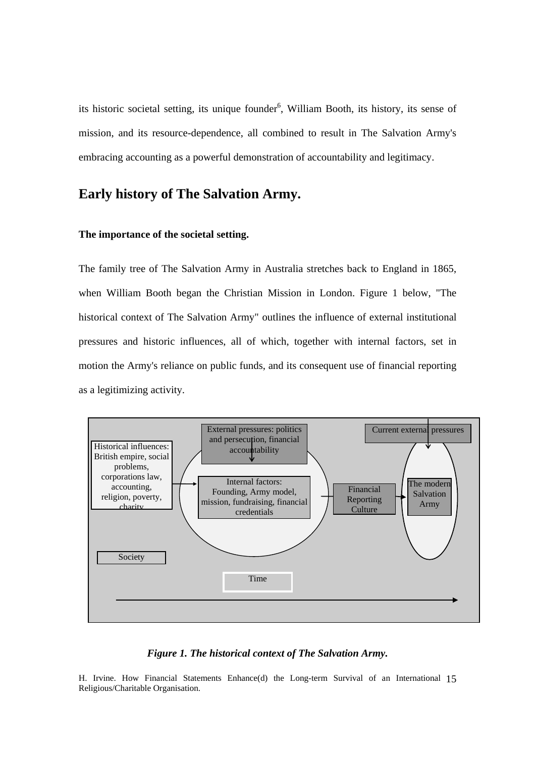its historic societal setting, its unique founder<sup>6</sup>, William Booth, its history, its sense of mission, and its resource-dependence, all combined to result in The Salvation Army's embracing accounting as a powerful demonstration of accountability and legitimacy.

# **Early history of The Salvation Army.**

# **The importance of the societal setting.**

The family tree of The Salvation Army in Australia stretches back to England in 1865, when William Booth began the Christian Mission in London. Figure 1 below, "The historical context of The Salvation Army" outlines the influence of external institutional pressures and historic influences, all of which, together with internal factors, set in motion the Army's reliance on public funds, and its consequent use of financial reporting as a legitimizing activity.



# *Figure 1. The historical context of The Salvation Army.*

H. Irvine. How Financial Statements Enhance(d) the Long-term Survival of an International 15 Religious/Charitable Organisation.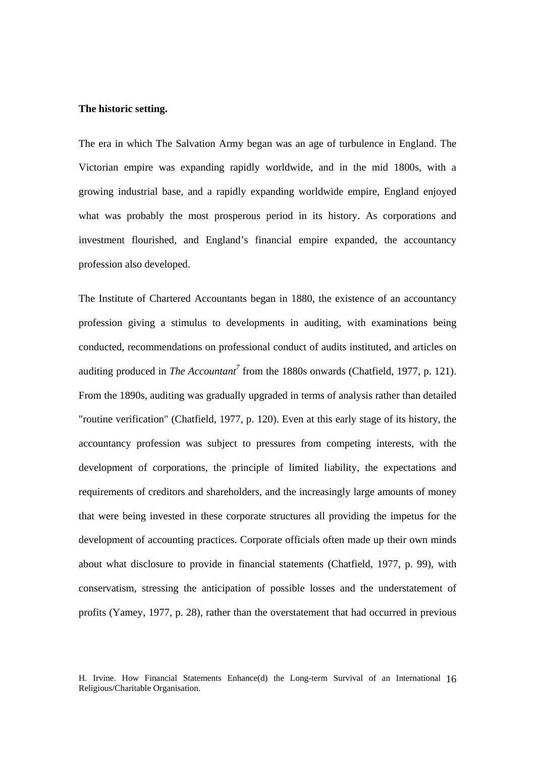### **The historic setting.**

The era in which The Salvation Army began was an age of turbulence in England. The Victorian empire was expanding rapidly worldwide, and in the mid 1800s, with a growing industrial base, and a rapidly expanding worldwide empire, England enjoyed what was probably the most prosperous period in its history. As corporations and investment flourished, and England's financial empire expanded, the accountancy profession also developed.

The Institute of Chartered Accountants began in 1880, the existence of an accountancy profession giving a stimulus to developments in auditing, with examinations being conducted, recommendations on professional conduct of audits instituted, and articles on auditing produced in *The Accountant*<sup>7</sup> from the 1880s onwards (Chatfield, 1977, p. 121). From the 1890s, auditing was gradually upgraded in terms of analysis rather than detailed "routine verification" (Chatfield, 1977, p. 120). Even at this early stage of its history, the accountancy profession was subject to pressures from competing interests, with the development of corporations, the principle of limited liability, the expectations and requirements of creditors and shareholders, and the increasingly large amounts of money that were being invested in these corporate structures all providing the impetus for the development of accounting practices. Corporate officials often made up their own minds about what disclosure to provide in financial statements (Chatfield, 1977, p. 99), with conservatism, stressing the anticipation of possible losses and the understatement of profits (Yamey, 1977, p. 28), rather than the overstatement that had occurred in previous

H. Irvine. How Financial Statements Enhance(d) the Long-term Survival of an International 16 Religious/Charitable Organisation.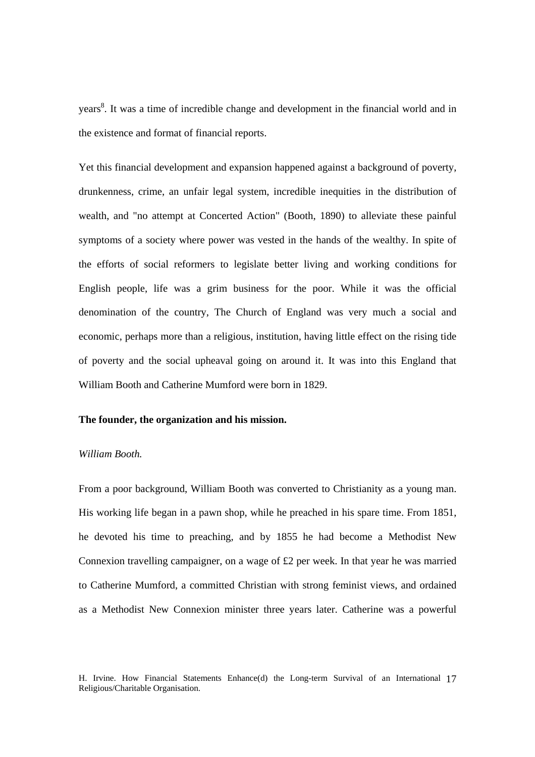years<sup>8</sup>. It was a time of incredible change and development in the financial world and in the existence and format of financial reports.

Yet this financial development and expansion happened against a background of poverty, drunkenness, crime, an unfair legal system, incredible inequities in the distribution of wealth, and "no attempt at Concerted Action" (Booth, 1890) to alleviate these painful symptoms of a society where power was vested in the hands of the wealthy. In spite of the efforts of social reformers to legislate better living and working conditions for English people, life was a grim business for the poor. While it was the official denomination of the country, The Church of England was very much a social and economic, perhaps more than a religious, institution, having little effect on the rising tide of poverty and the social upheaval going on around it. It was into this England that William Booth and Catherine Mumford were born in 1829.

# **The founder, the organization and his mission.**

#### *William Booth.*

From a poor background, William Booth was converted to Christianity as a young man. His working life began in a pawn shop, while he preached in his spare time. From 1851, he devoted his time to preaching, and by 1855 he had become a Methodist New Connexion travelling campaigner, on a wage of £2 per week. In that year he was married to Catherine Mumford, a committed Christian with strong feminist views, and ordained as a Methodist New Connexion minister three years later. Catherine was a powerful

H. Irvine. How Financial Statements Enhance(d) the Long-term Survival of an International 17 Religious/Charitable Organisation.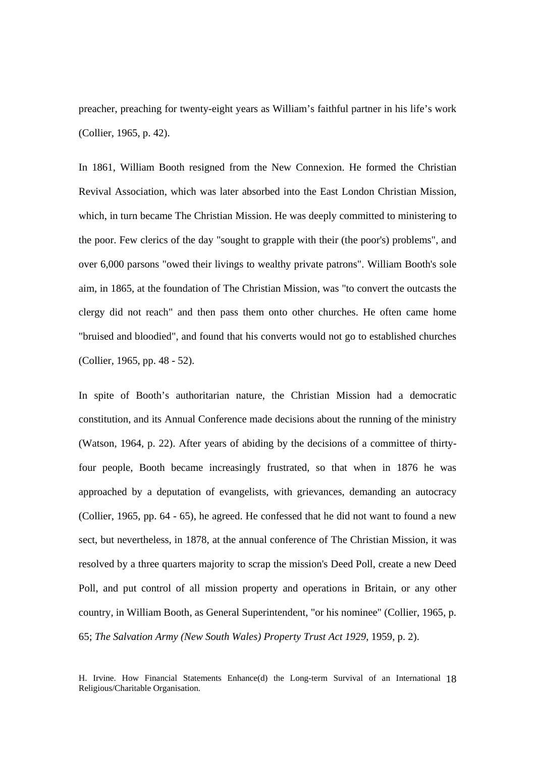preacher, preaching for twenty-eight years as William's faithful partner in his life's work (Collier, 1965, p. 42).

In 1861, William Booth resigned from the New Connexion. He formed the Christian Revival Association, which was later absorbed into the East London Christian Mission, which, in turn became The Christian Mission. He was deeply committed to ministering to the poor. Few clerics of the day "sought to grapple with their (the poor's) problems", and over 6,000 parsons "owed their livings to wealthy private patrons". William Booth's sole aim, in 1865, at the foundation of The Christian Mission, was "to convert the outcasts the clergy did not reach" and then pass them onto other churches. He often came home "bruised and bloodied", and found that his converts would not go to established churches (Collier, 1965, pp. 48 - 52).

In spite of Booth's authoritarian nature, the Christian Mission had a democratic constitution, and its Annual Conference made decisions about the running of the ministry (Watson, 1964, p. 22). After years of abiding by the decisions of a committee of thirtyfour people, Booth became increasingly frustrated, so that when in 1876 he was approached by a deputation of evangelists, with grievances, demanding an autocracy (Collier, 1965, pp. 64 - 65), he agreed. He confessed that he did not want to found a new sect, but nevertheless, in 1878, at the annual conference of The Christian Mission, it was resolved by a three quarters majority to scrap the mission's Deed Poll, create a new Deed Poll, and put control of all mission property and operations in Britain, or any other country, in William Booth, as General Superintendent, "or his nominee" (Collier, 1965, p. 65; *The Salvation Army (New South Wales) Property Trust Act 1929*, 1959, p. 2).

H. Irvine. How Financial Statements Enhance(d) the Long-term Survival of an International 18 Religious/Charitable Organisation.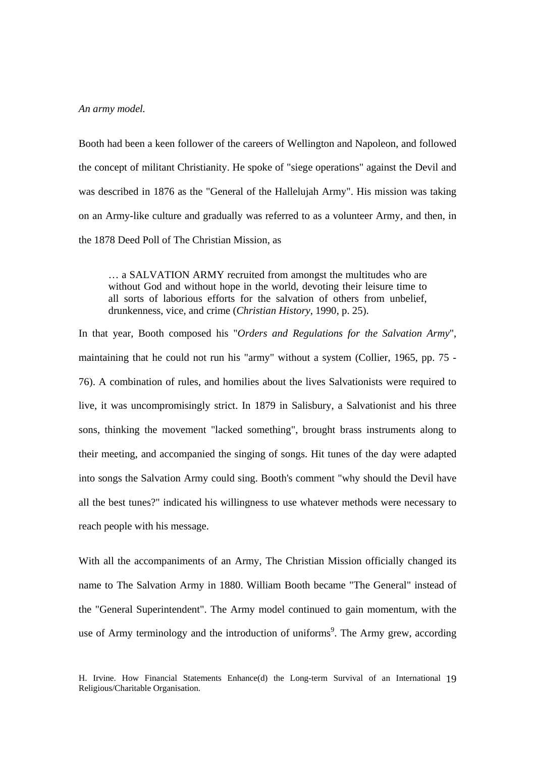#### *An army model.*

Booth had been a keen follower of the careers of Wellington and Napoleon, and followed the concept of militant Christianity. He spoke of "siege operations" against the Devil and was described in 1876 as the "General of the Hallelujah Army". His mission was taking on an Army-like culture and gradually was referred to as a volunteer Army, and then, in the 1878 Deed Poll of The Christian Mission, as

… a SALVATION ARMY recruited from amongst the multitudes who are without God and without hope in the world, devoting their leisure time to all sorts of laborious efforts for the salvation of others from unbelief, drunkenness, vice, and crime (*Christian History*, 1990, p. 25).

In that year, Booth composed his "*Orders and Regulations for the Salvation Army*", maintaining that he could not run his "army" without a system (Collier, 1965, pp. 75 - 76). A combination of rules, and homilies about the lives Salvationists were required to live, it was uncompromisingly strict. In 1879 in Salisbury, a Salvationist and his three sons, thinking the movement "lacked something", brought brass instruments along to their meeting, and accompanied the singing of songs. Hit tunes of the day were adapted into songs the Salvation Army could sing. Booth's comment "why should the Devil have all the best tunes?" indicated his willingness to use whatever methods were necessary to reach people with his message.

With all the accompaniments of an Army, The Christian Mission officially changed its name to The Salvation Army in 1880. William Booth became "The General" instead of the "General Superintendent". The Army model continued to gain momentum, with the use of Army terminology and the introduction of uniforms<sup>9</sup>. The Army grew, according

H. Irvine. How Financial Statements Enhance(d) the Long-term Survival of an International 19 Religious/Charitable Organisation.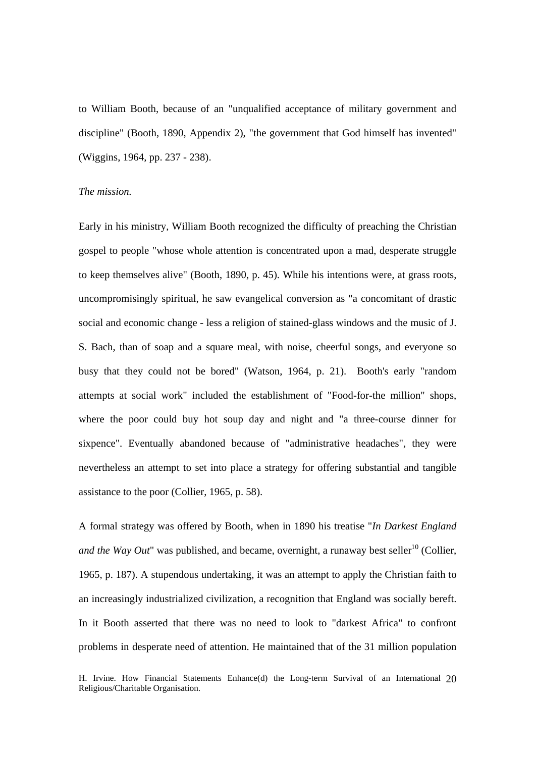to William Booth, because of an "unqualified acceptance of military government and discipline" (Booth, 1890, Appendix 2), "the government that God himself has invented" (Wiggins, 1964, pp. 237 - 238).

# *The mission.*

Early in his ministry, William Booth recognized the difficulty of preaching the Christian gospel to people "whose whole attention is concentrated upon a mad, desperate struggle to keep themselves alive" (Booth, 1890, p. 45). While his intentions were, at grass roots, uncompromisingly spiritual, he saw evangelical conversion as "a concomitant of drastic social and economic change - less a religion of stained-glass windows and the music of J. S. Bach, than of soap and a square meal, with noise, cheerful songs, and everyone so busy that they could not be bored" (Watson, 1964, p. 21). Booth's early "random attempts at social work" included the establishment of "Food-for-the million" shops, where the poor could buy hot soup day and night and "a three-course dinner for sixpence". Eventually abandoned because of "administrative headaches", they were nevertheless an attempt to set into place a strategy for offering substantial and tangible assistance to the poor (Collier, 1965, p. 58).

A formal strategy was offered by Booth, when in 1890 his treatise "*In Darkest England and the Way Out*" was published, and became, overnight, a runaway best seller<sup>10</sup> (Collier, 1965, p. 187). A stupendous undertaking, it was an attempt to apply the Christian faith to an increasingly industrialized civilization, a recognition that England was socially bereft. In it Booth asserted that there was no need to look to "darkest Africa" to confront problems in desperate need of attention. He maintained that of the 31 million population

H. Irvine. How Financial Statements Enhance(d) the Long-term Survival of an International 20 Religious/Charitable Organisation.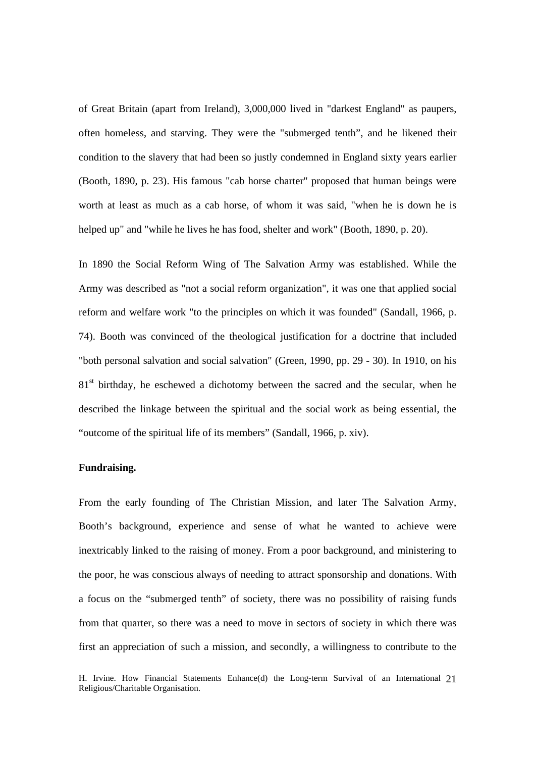of Great Britain (apart from Ireland), 3,000,000 lived in "darkest England" as paupers, often homeless, and starving. They were the "submerged tenth", and he likened their condition to the slavery that had been so justly condemned in England sixty years earlier (Booth, 1890, p. 23). His famous "cab horse charter" proposed that human beings were worth at least as much as a cab horse, of whom it was said, "when he is down he is helped up" and "while he lives he has food, shelter and work" (Booth, 1890, p. 20).

In 1890 the Social Reform Wing of The Salvation Army was established. While the Army was described as "not a social reform organization", it was one that applied social reform and welfare work "to the principles on which it was founded" (Sandall, 1966, p. 74). Booth was convinced of the theological justification for a doctrine that included "both personal salvation and social salvation" (Green, 1990, pp. 29 - 30). In 1910, on his 81<sup>st</sup> birthday, he eschewed a dichotomy between the sacred and the secular, when he described the linkage between the spiritual and the social work as being essential, the "outcome of the spiritual life of its members" (Sandall, 1966, p. xiv).

### **Fundraising.**

From the early founding of The Christian Mission, and later The Salvation Army, Booth's background, experience and sense of what he wanted to achieve were inextricably linked to the raising of money. From a poor background, and ministering to the poor, he was conscious always of needing to attract sponsorship and donations. With a focus on the "submerged tenth" of society, there was no possibility of raising funds from that quarter, so there was a need to move in sectors of society in which there was first an appreciation of such a mission, and secondly, a willingness to contribute to the

H. Irvine. How Financial Statements Enhance(d) the Long-term Survival of an International 21 Religious/Charitable Organisation.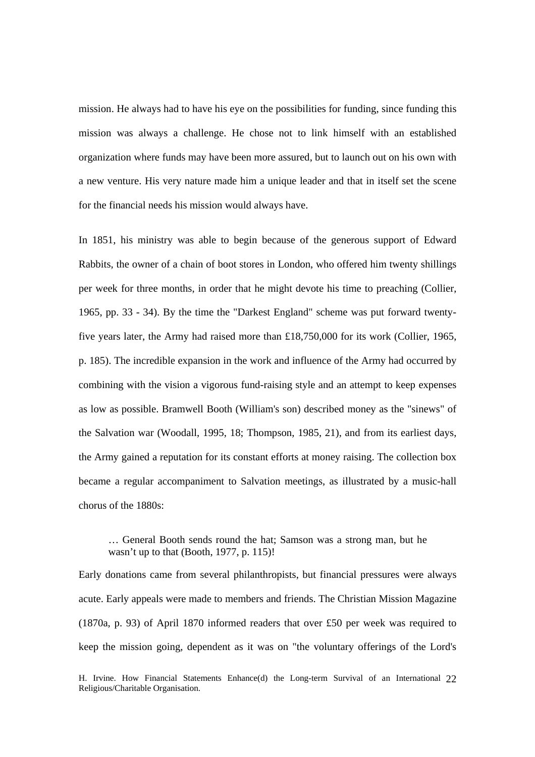mission. He always had to have his eye on the possibilities for funding, since funding this mission was always a challenge. He chose not to link himself with an established organization where funds may have been more assured, but to launch out on his own with a new venture. His very nature made him a unique leader and that in itself set the scene for the financial needs his mission would always have.

In 1851, his ministry was able to begin because of the generous support of Edward Rabbits, the owner of a chain of boot stores in London, who offered him twenty shillings per week for three months, in order that he might devote his time to preaching (Collier, 1965, pp. 33 - 34). By the time the "Darkest England" scheme was put forward twentyfive years later, the Army had raised more than £18,750,000 for its work (Collier, 1965, p. 185). The incredible expansion in the work and influence of the Army had occurred by combining with the vision a vigorous fund-raising style and an attempt to keep expenses as low as possible. Bramwell Booth (William's son) described money as the "sinews" of the Salvation war (Woodall, 1995, 18; Thompson, 1985, 21), and from its earliest days, the Army gained a reputation for its constant efforts at money raising. The collection box became a regular accompaniment to Salvation meetings, as illustrated by a music-hall chorus of the 1880s:

… General Booth sends round the hat; Samson was a strong man, but he wasn't up to that (Booth, 1977, p. 115)!

Early donations came from several philanthropists, but financial pressures were always acute. Early appeals were made to members and friends. The Christian Mission Magazine (1870a, p. 93) of April 1870 informed readers that over £50 per week was required to keep the mission going, dependent as it was on "the voluntary offerings of the Lord's

H. Irvine. How Financial Statements Enhance(d) the Long-term Survival of an International 22 Religious/Charitable Organisation.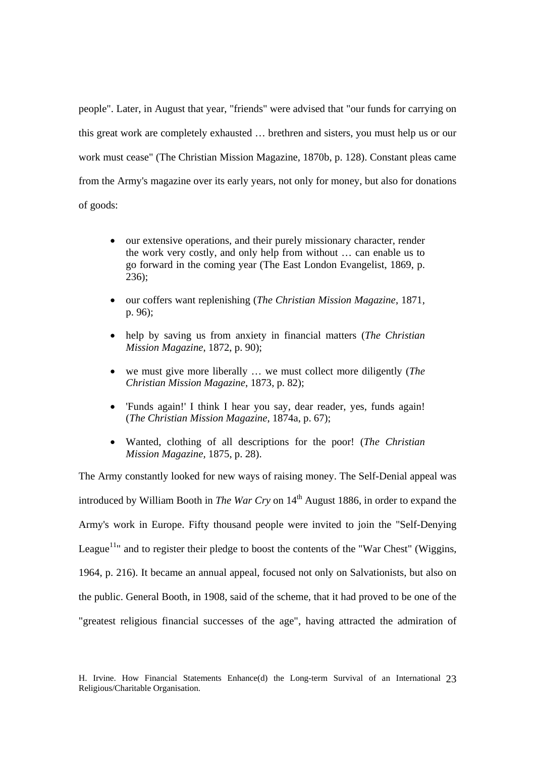people". Later, in August that year, "friends" were advised that "our funds for carrying on this great work are completely exhausted … brethren and sisters, you must help us or our work must cease" (The Christian Mission Magazine, 1870b, p. 128). Constant pleas came from the Army's magazine over its early years, not only for money, but also for donations of goods:

- our extensive operations, and their purely missionary character, render the work very costly, and only help from without … can enable us to go forward in the coming year (The East London Evangelist, 1869, p. 236);
- our coffers want replenishing (*The Christian Mission Magazine*, 1871, p. 96);
- help by saving us from anxiety in financial matters (*The Christian Mission Magazine*, 1872, p. 90);
- we must give more liberally … we must collect more diligently (*The Christian Mission Magazine*, 1873, p. 82);
- 'Funds again!' I think I hear you say, dear reader, yes, funds again! (*The Christian Mission Magazine*, 1874a, p. 67);
- Wanted, clothing of all descriptions for the poor! (*The Christian Mission Magazine,* 1875, p. 28).

The Army constantly looked for new ways of raising money. The Self-Denial appeal was introduced by William Booth in *The War Cry* on  $14<sup>th</sup>$  August 1886, in order to expand the Army's work in Europe. Fifty thousand people were invited to join the "Self-Denying League<sup>11</sup>" and to register their pledge to boost the contents of the "War Chest" (Wiggins, 1964, p. 216). It became an annual appeal, focused not only on Salvationists, but also on the public. General Booth, in 1908, said of the scheme, that it had proved to be one of the "greatest religious financial successes of the age", having attracted the admiration of

H. Irvine. How Financial Statements Enhance(d) the Long-term Survival of an International 23 Religious/Charitable Organisation.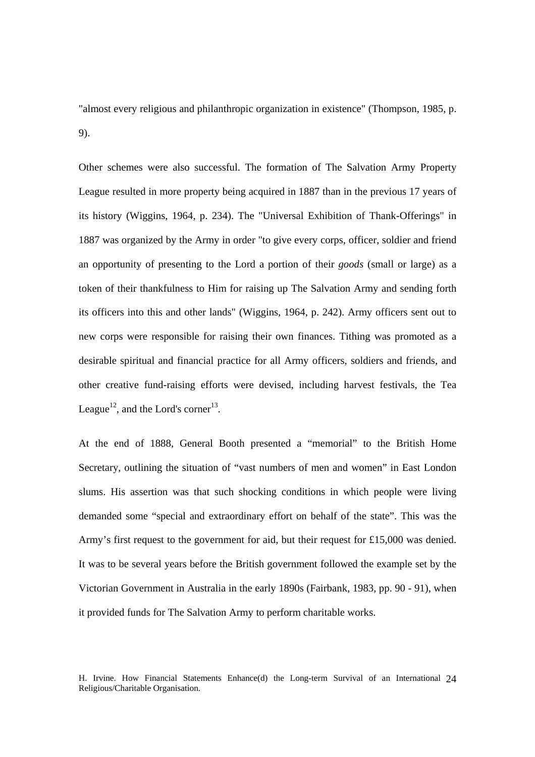"almost every religious and philanthropic organization in existence" (Thompson, 1985, p. 9).

Other schemes were also successful. The formation of The Salvation Army Property League resulted in more property being acquired in 1887 than in the previous 17 years of its history (Wiggins, 1964, p. 234). The "Universal Exhibition of Thank-Offerings" in 1887 was organized by the Army in order "to give every corps, officer, soldier and friend an opportunity of presenting to the Lord a portion of their *goods* (small or large) as a token of their thankfulness to Him for raising up The Salvation Army and sending forth its officers into this and other lands" (Wiggins, 1964, p. 242). Army officers sent out to new corps were responsible for raising their own finances. Tithing was promoted as a desirable spiritual and financial practice for all Army officers, soldiers and friends, and other creative fund-raising efforts were devised, including harvest festivals, the Tea League<sup>12</sup>, and the Lord's corner<sup>13</sup>.

At the end of 1888, General Booth presented a "memorial" to the British Home Secretary, outlining the situation of "vast numbers of men and women" in East London slums. His assertion was that such shocking conditions in which people were living demanded some "special and extraordinary effort on behalf of the state". This was the Army's first request to the government for aid, but their request for £15,000 was denied. It was to be several years before the British government followed the example set by the Victorian Government in Australia in the early 1890s (Fairbank, 1983, pp. 90 - 91), when it provided funds for The Salvation Army to perform charitable works.

H. Irvine. How Financial Statements Enhance(d) the Long-term Survival of an International 24 Religious/Charitable Organisation.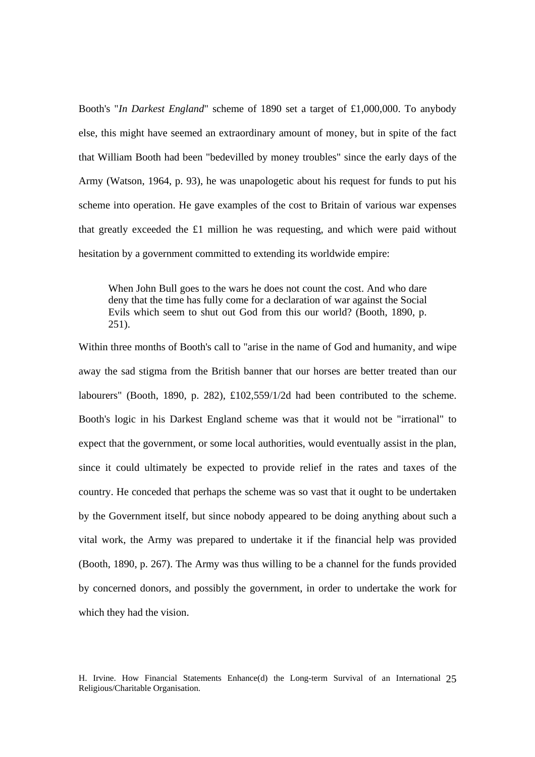Booth's "*In Darkest England*" scheme of 1890 set a target of £1,000,000. To anybody else, this might have seemed an extraordinary amount of money, but in spite of the fact that William Booth had been "bedevilled by money troubles" since the early days of the Army (Watson, 1964, p. 93), he was unapologetic about his request for funds to put his scheme into operation. He gave examples of the cost to Britain of various war expenses that greatly exceeded the  $£1$  million he was requesting, and which were paid without hesitation by a government committed to extending its worldwide empire:

When John Bull goes to the wars he does not count the cost. And who dare deny that the time has fully come for a declaration of war against the Social Evils which seem to shut out God from this our world? (Booth, 1890, p.  $251$ ).

Within three months of Booth's call to "arise in the name of God and humanity, and wipe away the sad stigma from the British banner that our horses are better treated than our labourers" (Booth, 1890, p. 282), £102,559/1/2d had been contributed to the scheme. Booth's logic in his Darkest England scheme was that it would not be "irrational" to expect that the government, or some local authorities, would eventually assist in the plan, since it could ultimately be expected to provide relief in the rates and taxes of the country. He conceded that perhaps the scheme was so vast that it ought to be undertaken by the Government itself, but since nobody appeared to be doing anything about such a vital work, the Army was prepared to undertake it if the financial help was provided (Booth, 1890, p. 267). The Army was thus willing to be a channel for the funds provided by concerned donors, and possibly the government, in order to undertake the work for which they had the vision.

H. Irvine. How Financial Statements Enhance(d) the Long-term Survival of an International 25 Religious/Charitable Organisation.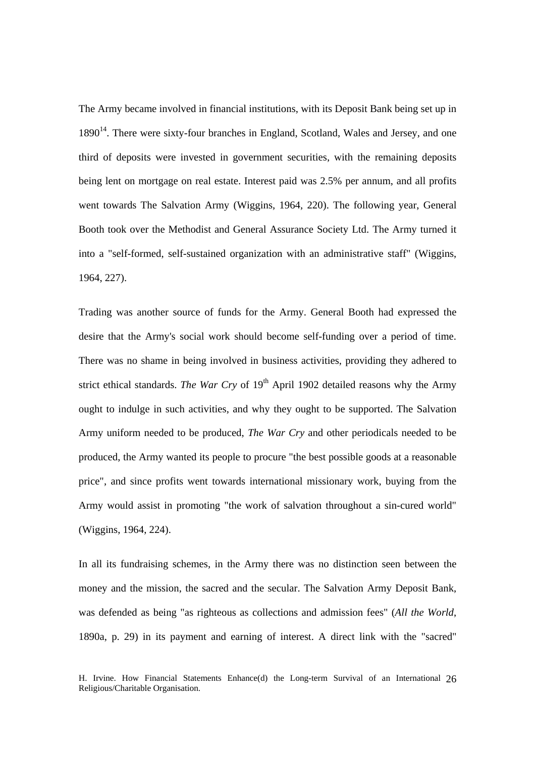The Army became involved in financial institutions, with its Deposit Bank being set up in  $1890<sup>14</sup>$ . There were sixty-four branches in England, Scotland, Wales and Jersey, and one third of deposits were invested in government securities, with the remaining deposits being lent on mortgage on real estate. Interest paid was 2.5% per annum, and all profits went towards The Salvation Army (Wiggins, 1964, 220). The following year, General Booth took over the Methodist and General Assurance Society Ltd. The Army turned it into a "self-formed, self-sustained organization with an administrative staff" (Wiggins, 1964, 227).

Trading was another source of funds for the Army. General Booth had expressed the desire that the Army's social work should become self-funding over a period of time. There was no shame in being involved in business activities, providing they adhered to strict ethical standards. *The War Cry* of 19<sup>th</sup> April 1902 detailed reasons why the Army ought to indulge in such activities, and why they ought to be supported. The Salvation Army uniform needed to be produced, *The War Cry* and other periodicals needed to be produced, the Army wanted its people to procure "the best possible goods at a reasonable price", and since profits went towards international missionary work, buying from the Army would assist in promoting "the work of salvation throughout a sin-cured world" (Wiggins, 1964, 224).

In all its fundraising schemes, in the Army there was no distinction seen between the money and the mission, the sacred and the secular. The Salvation Army Deposit Bank, was defended as being "as righteous as collections and admission fees" (*All the World*, 1890a, p. 29) in its payment and earning of interest. A direct link with the "sacred"

H. Irvine. How Financial Statements Enhance(d) the Long-term Survival of an International 26 Religious/Charitable Organisation.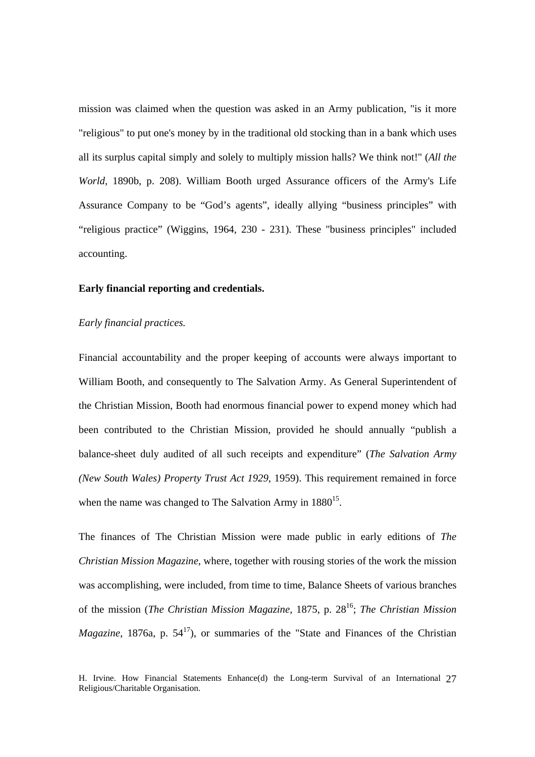mission was claimed when the question was asked in an Army publication, "is it more "religious" to put one's money by in the traditional old stocking than in a bank which uses all its surplus capital simply and solely to multiply mission halls? We think not!" (*All the World,* 1890b, p. 208). William Booth urged Assurance officers of the Army's Life Assurance Company to be "God's agents", ideally allying "business principles" with "religious practice" (Wiggins, 1964, 230 - 231). These "business principles" included accounting.

### **Early financial reporting and credentials.**

## *Early financial practices.*

Financial accountability and the proper keeping of accounts were always important to William Booth, and consequently to The Salvation Army. As General Superintendent of the Christian Mission, Booth had enormous financial power to expend money which had been contributed to the Christian Mission, provided he should annually "publish a balance-sheet duly audited of all such receipts and expenditure" (*The Salvation Army (New South Wales) Property Trust Act 1929*, 1959). This requirement remained in force when the name was changed to The Salvation Army in  $1880^{15}$ .

The finances of The Christian Mission were made public in early editions of *The Christian Mission Magazine*, where, together with rousing stories of the work the mission was accomplishing, were included, from time to time, Balance Sheets of various branches of the mission (*The Christian Mission Magazine,* 1875, p. 2816; *The Christian Mission Magazine*, 1876a, p.  $54^{17}$ ), or summaries of the "State and Finances of the Christian

H. Irvine. How Financial Statements Enhance(d) the Long-term Survival of an International 27 Religious/Charitable Organisation.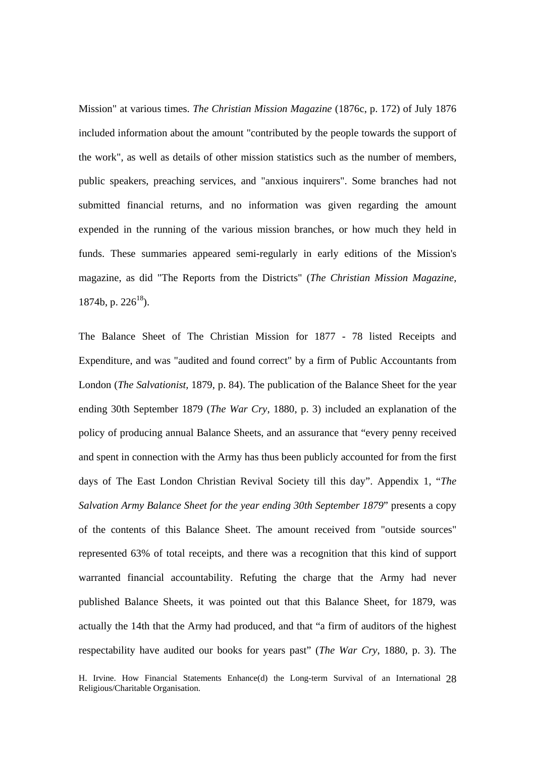Mission" at various times. *The Christian Mission Magazine* (1876c, p. 172) of July 1876 included information about the amount "contributed by the people towards the support of the work", as well as details of other mission statistics such as the number of members, public speakers, preaching services, and "anxious inquirers". Some branches had not submitted financial returns, and no information was given regarding the amount expended in the running of the various mission branches, or how much they held in funds. These summaries appeared semi-regularly in early editions of the Mission's magazine, as did "The Reports from the Districts" (*The Christian Mission Magazine,*  1874b, p.  $226^{18}$ ).

The Balance Sheet of The Christian Mission for 1877 - 78 listed Receipts and Expenditure, and was "audited and found correct" by a firm of Public Accountants from London (*The Salvationist,* 1879, p. 84). The publication of the Balance Sheet for the year ending 30th September 1879 (*The War Cry*, 1880, p. 3) included an explanation of the policy of producing annual Balance Sheets, and an assurance that "every penny received and spent in connection with the Army has thus been publicly accounted for from the first days of The East London Christian Revival Society till this day". Appendix 1, "*The Salvation Army Balance Sheet for the year ending 30th September 1879*" presents a copy of the contents of this Balance Sheet. The amount received from "outside sources" represented 63% of total receipts, and there was a recognition that this kind of support warranted financial accountability. Refuting the charge that the Army had never published Balance Sheets, it was pointed out that this Balance Sheet, for 1879, was actually the 14th that the Army had produced, and that "a firm of auditors of the highest respectability have audited our books for years past" (*The War Cry*, 1880, p. 3). The

H. Irvine. How Financial Statements Enhance(d) the Long-term Survival of an International 28 Religious/Charitable Organisation.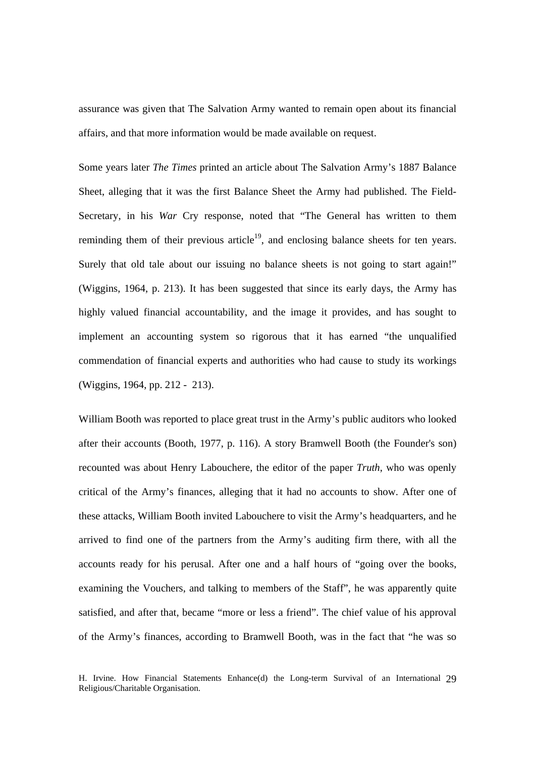assurance was given that The Salvation Army wanted to remain open about its financial affairs, and that more information would be made available on request.

Some years later *The Times* printed an article about The Salvation Army's 1887 Balance Sheet, alleging that it was the first Balance Sheet the Army had published. The Field-Secretary, in his *War* Cry response, noted that "The General has written to them reminding them of their previous article<sup>19</sup>, and enclosing balance sheets for ten years. Surely that old tale about our issuing no balance sheets is not going to start again!" (Wiggins, 1964, p. 213). It has been suggested that since its early days, the Army has highly valued financial accountability, and the image it provides, and has sought to implement an accounting system so rigorous that it has earned "the unqualified commendation of financial experts and authorities who had cause to study its workings (Wiggins, 1964, pp. 212 - 213).

William Booth was reported to place great trust in the Army's public auditors who looked after their accounts (Booth, 1977, p. 116). A story Bramwell Booth (the Founder's son) recounted was about Henry Labouchere, the editor of the paper *Truth*, who was openly critical of the Army's finances, alleging that it had no accounts to show. After one of these attacks, William Booth invited Labouchere to visit the Army's headquarters, and he arrived to find one of the partners from the Army's auditing firm there, with all the accounts ready for his perusal. After one and a half hours of "going over the books, examining the Vouchers, and talking to members of the Staff", he was apparently quite satisfied, and after that, became "more or less a friend". The chief value of his approval of the Army's finances, according to Bramwell Booth, was in the fact that "he was so

H. Irvine. How Financial Statements Enhance(d) the Long-term Survival of an International 29 Religious/Charitable Organisation.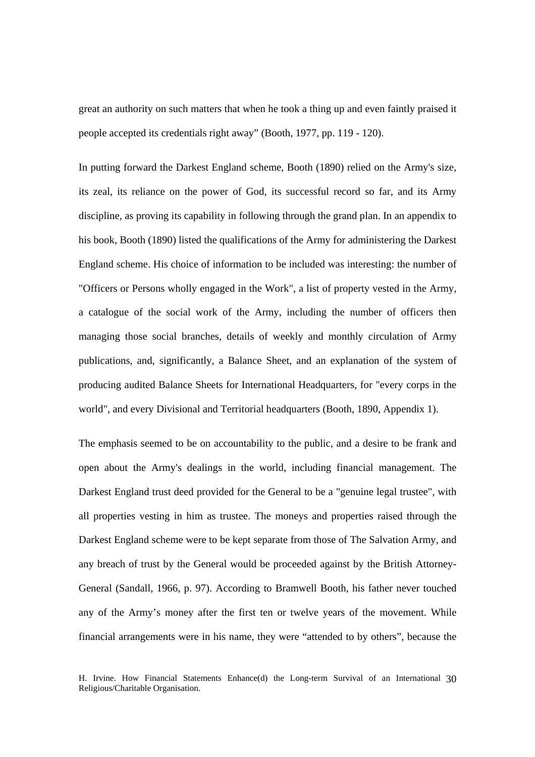great an authority on such matters that when he took a thing up and even faintly praised it people accepted its credentials right away" (Booth, 1977, pp. 119 - 120).

In putting forward the Darkest England scheme, Booth (1890) relied on the Army's size, its zeal, its reliance on the power of God, its successful record so far, and its Army discipline, as proving its capability in following through the grand plan. In an appendix to his book, Booth (1890) listed the qualifications of the Army for administering the Darkest England scheme. His choice of information to be included was interesting: the number of "Officers or Persons wholly engaged in the Work", a list of property vested in the Army, a catalogue of the social work of the Army, including the number of officers then managing those social branches, details of weekly and monthly circulation of Army publications, and, significantly, a Balance Sheet, and an explanation of the system of producing audited Balance Sheets for International Headquarters, for "every corps in the world", and every Divisional and Territorial headquarters (Booth, 1890, Appendix 1).

The emphasis seemed to be on accountability to the public, and a desire to be frank and open about the Army's dealings in the world, including financial management. The Darkest England trust deed provided for the General to be a "genuine legal trustee", with all properties vesting in him as trustee. The moneys and properties raised through the Darkest England scheme were to be kept separate from those of The Salvation Army, and any breach of trust by the General would be proceeded against by the British Attorney-General (Sandall, 1966, p. 97). According to Bramwell Booth, his father never touched any of the Army's money after the first ten or twelve years of the movement. While financial arrangements were in his name, they were "attended to by others", because the

H. Irvine. How Financial Statements Enhance(d) the Long-term Survival of an International 30 Religious/Charitable Organisation.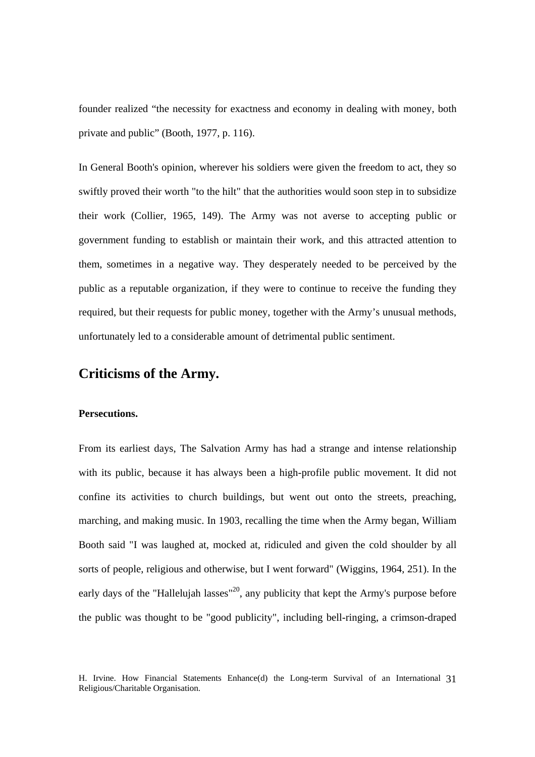founder realized "the necessity for exactness and economy in dealing with money, both private and public" (Booth, 1977, p. 116).

In General Booth's opinion, wherever his soldiers were given the freedom to act, they so swiftly proved their worth "to the hilt" that the authorities would soon step in to subsidize their work (Collier, 1965, 149). The Army was not averse to accepting public or government funding to establish or maintain their work, and this attracted attention to them, sometimes in a negative way. They desperately needed to be perceived by the public as a reputable organization, if they were to continue to receive the funding they required, but their requests for public money, together with the Army's unusual methods, unfortunately led to a considerable amount of detrimental public sentiment.

# **Criticisms of the Army.**

#### **Persecutions.**

From its earliest days, The Salvation Army has had a strange and intense relationship with its public, because it has always been a high-profile public movement. It did not confine its activities to church buildings, but went out onto the streets, preaching, marching, and making music. In 1903, recalling the time when the Army began, William Booth said "I was laughed at, mocked at, ridiculed and given the cold shoulder by all sorts of people, religious and otherwise, but I went forward" (Wiggins, 1964, 251). In the early days of the "Hallelujah lasses"<sup>20</sup>, any publicity that kept the Army's purpose before the public was thought to be "good publicity", including bell-ringing, a crimson-draped

H. Irvine. How Financial Statements Enhance(d) the Long-term Survival of an International 31 Religious/Charitable Organisation.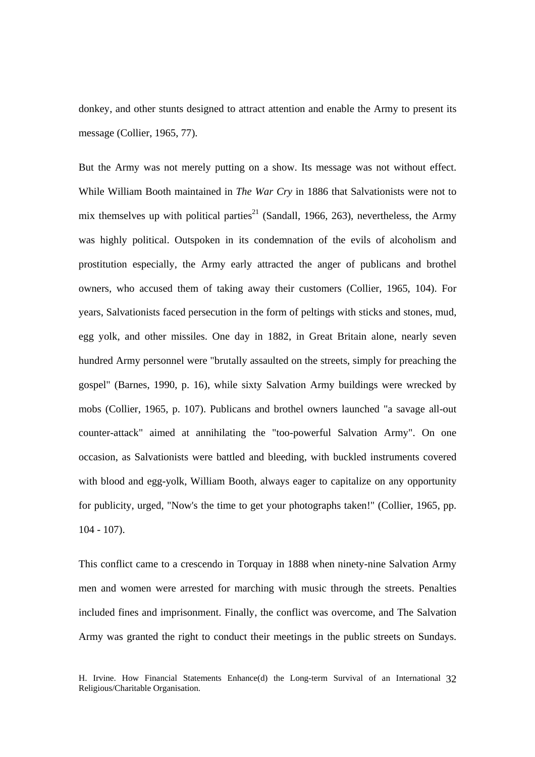donkey, and other stunts designed to attract attention and enable the Army to present its message (Collier, 1965, 77).

But the Army was not merely putting on a show. Its message was not without effect. While William Booth maintained in *The War Cry* in 1886 that Salvationists were not to mix themselves up with political parties<sup>21</sup> (Sandall, 1966, 263), nevertheless, the Army was highly political. Outspoken in its condemnation of the evils of alcoholism and prostitution especially, the Army early attracted the anger of publicans and brothel owners, who accused them of taking away their customers (Collier, 1965, 104). For years, Salvationists faced persecution in the form of peltings with sticks and stones, mud, egg yolk, and other missiles. One day in 1882, in Great Britain alone, nearly seven hundred Army personnel were "brutally assaulted on the streets, simply for preaching the gospel" (Barnes, 1990, p. 16), while sixty Salvation Army buildings were wrecked by mobs (Collier, 1965, p. 107). Publicans and brothel owners launched "a savage all-out counter-attack" aimed at annihilating the "too-powerful Salvation Army". On one occasion, as Salvationists were battled and bleeding, with buckled instruments covered with blood and egg-yolk, William Booth, always eager to capitalize on any opportunity for publicity, urged, "Now's the time to get your photographs taken!" (Collier, 1965, pp. 104 - 107).

This conflict came to a crescendo in Torquay in 1888 when ninety-nine Salvation Army men and women were arrested for marching with music through the streets. Penalties included fines and imprisonment. Finally, the conflict was overcome, and The Salvation Army was granted the right to conduct their meetings in the public streets on Sundays.

H. Irvine. How Financial Statements Enhance(d) the Long-term Survival of an International 32 Religious/Charitable Organisation.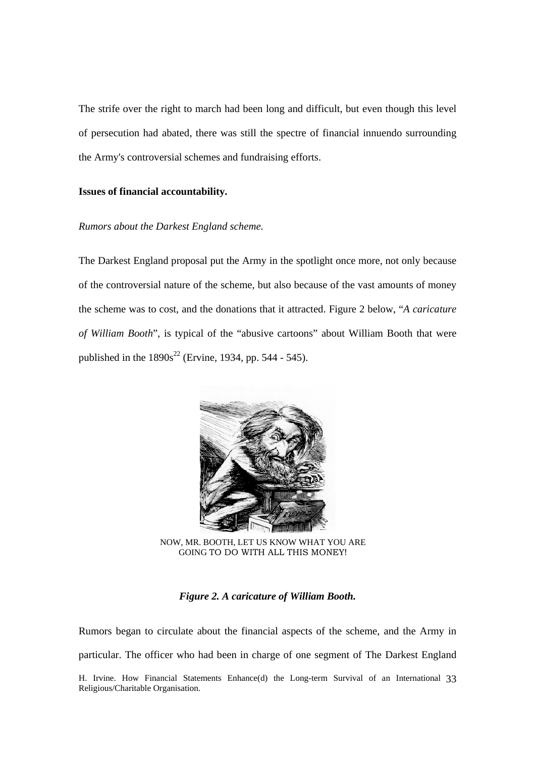The strife over the right to march had been long and difficult, but even though this level of persecution had abated, there was still the spectre of financial innuendo surrounding the Army's controversial schemes and fundraising efforts.

# **Issues of financial accountability.**

# *Rumors about the Darkest England scheme.*

The Darkest England proposal put the Army in the spotlight once more, not only because of the controversial nature of the scheme, but also because of the vast amounts of money the scheme was to cost, and the donations that it attracted. Figure 2 below, "*A caricature of William Booth*", is typical of the "abusive cartoons" about William Booth that were published in the  $1890s^{22}$  (Ervine, 1934, pp. 544 - 545).



NOW, MR. BOOTH, LET US KNOW WHAT YOU ARE GOING TO DO WITH ALL THIS MONEY!

# *Figure 2. A caricature of William Booth.*

H. Irvine. How Financial Statements Enhance(d) the Long-term Survival of an International 33 Religious/Charitable Organisation. Rumors began to circulate about the financial aspects of the scheme, and the Army in particular. The officer who had been in charge of one segment of The Darkest England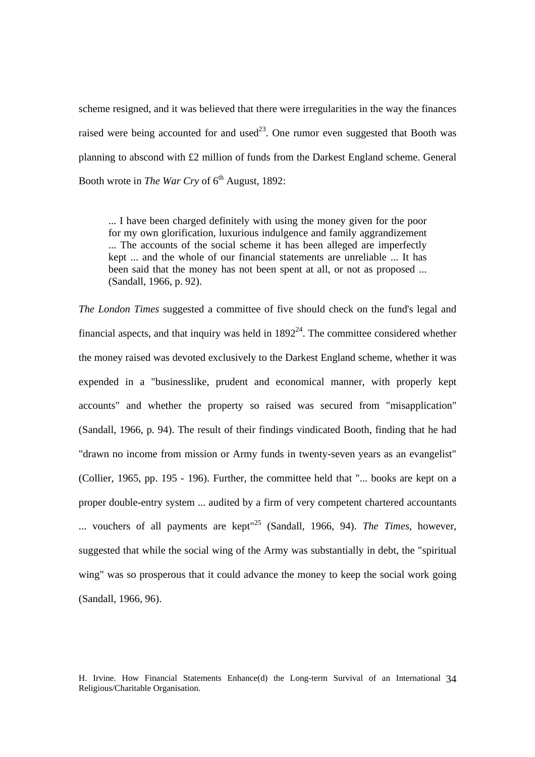scheme resigned, and it was believed that there were irregularities in the way the finances raised were being accounted for and used<sup>23</sup>. One rumor even suggested that Booth was planning to abscond with £2 million of funds from the Darkest England scheme. General Booth wrote in *The War Cry* of 6<sup>th</sup> August, 1892:

... I have been charged definitely with using the money given for the poor for my own glorification, luxurious indulgence and family aggrandizement ... The accounts of the social scheme it has been alleged are imperfectly kept ... and the whole of our financial statements are unreliable ... It has been said that the money has not been spent at all, or not as proposed ... (Sandall, 1966, p. 92).

*The London Times* suggested a committee of five should check on the fund's legal and financial aspects, and that inquiry was held in  $1892<sup>24</sup>$ . The committee considered whether the money raised was devoted exclusively to the Darkest England scheme, whether it was expended in a "businesslike, prudent and economical manner, with properly kept accounts" and whether the property so raised was secured from "misapplication" (Sandall, 1966, p. 94). The result of their findings vindicated Booth, finding that he had "drawn no income from mission or Army funds in twenty-seven years as an evangelist" (Collier, 1965, pp. 195 - 196). Further, the committee held that "... books are kept on a proper double-entry system ... audited by a firm of very competent chartered accountants ... vouchers of all payments are kept"25 (Sandall, 1966, 94). *The Times*, however, suggested that while the social wing of the Army was substantially in debt, the "spiritual wing" was so prosperous that it could advance the money to keep the social work going (Sandall, 1966, 96).

H. Irvine. How Financial Statements Enhance(d) the Long-term Survival of an International 34 Religious/Charitable Organisation.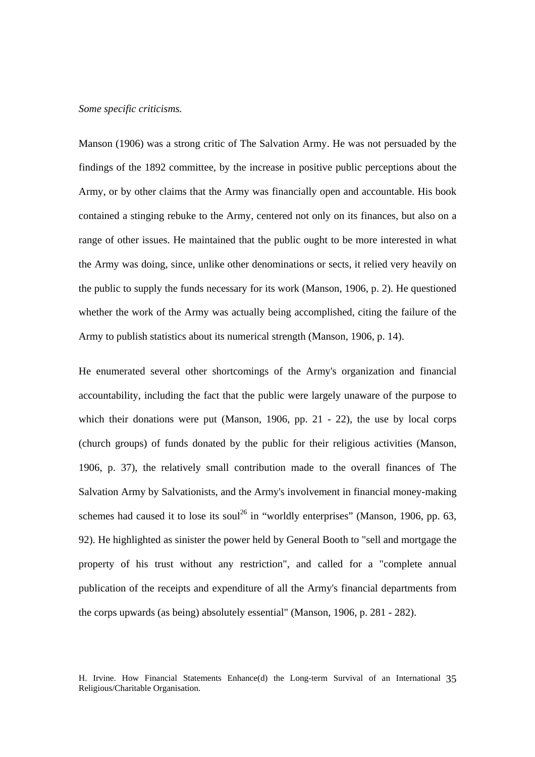### *Some specific criticisms.*

Manson (1906) was a strong critic of The Salvation Army. He was not persuaded by the findings of the 1892 committee, by the increase in positive public perceptions about the Army, or by other claims that the Army was financially open and accountable. His book contained a stinging rebuke to the Army, centered not only on its finances, but also on a range of other issues. He maintained that the public ought to be more interested in what the Army was doing, since, unlike other denominations or sects, it relied very heavily on the public to supply the funds necessary for its work (Manson, 1906, p. 2). He questioned whether the work of the Army was actually being accomplished, citing the failure of the Army to publish statistics about its numerical strength (Manson, 1906, p. 14).

He enumerated several other shortcomings of the Army's organization and financial accountability, including the fact that the public were largely unaware of the purpose to which their donations were put (Manson, 1906, pp. 21 - 22), the use by local corps (church groups) of funds donated by the public for their religious activities (Manson, 1906, p. 37), the relatively small contribution made to the overall finances of The Salvation Army by Salvationists, and the Army's involvement in financial money-making schemes had caused it to lose its soul<sup>26</sup> in "worldly enterprises" (Manson, 1906, pp. 63, 92). He highlighted as sinister the power held by General Booth to "sell and mortgage the property of his trust without any restriction", and called for a "complete annual publication of the receipts and expenditure of all the Army's financial departments from the corps upwards (as being) absolutely essential" (Manson, 1906, p. 281 - 282).

H. Irvine. How Financial Statements Enhance(d) the Long-term Survival of an International 35 Religious/Charitable Organisation.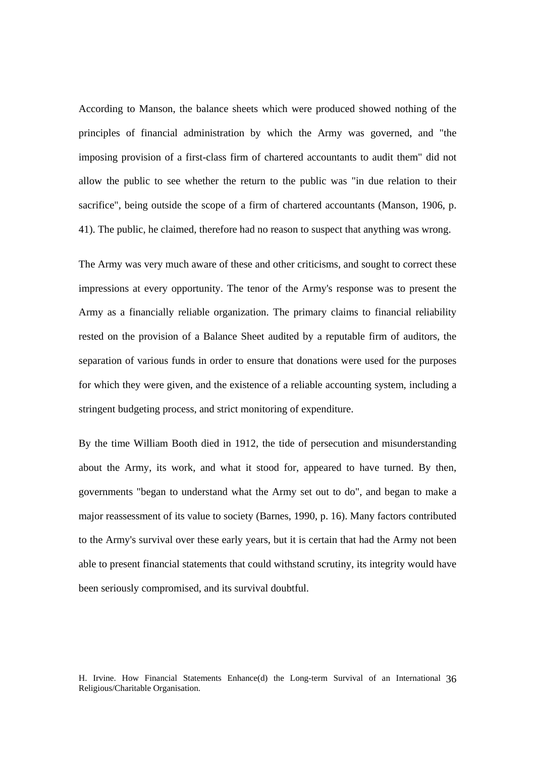According to Manson, the balance sheets which were produced showed nothing of the principles of financial administration by which the Army was governed, and "the imposing provision of a first-class firm of chartered accountants to audit them" did not allow the public to see whether the return to the public was "in due relation to their sacrifice", being outside the scope of a firm of chartered accountants (Manson, 1906, p. 41). The public, he claimed, therefore had no reason to suspect that anything was wrong.

The Army was very much aware of these and other criticisms, and sought to correct these impressions at every opportunity. The tenor of the Army's response was to present the Army as a financially reliable organization. The primary claims to financial reliability rested on the provision of a Balance Sheet audited by a reputable firm of auditors, the separation of various funds in order to ensure that donations were used for the purposes for which they were given, and the existence of a reliable accounting system, including a stringent budgeting process, and strict monitoring of expenditure.

By the time William Booth died in 1912, the tide of persecution and misunderstanding about the Army, its work, and what it stood for, appeared to have turned. By then, governments "began to understand what the Army set out to do", and began to make a major reassessment of its value to society (Barnes, 1990, p. 16). Many factors contributed to the Army's survival over these early years, but it is certain that had the Army not been able to present financial statements that could withstand scrutiny, its integrity would have been seriously compromised, and its survival doubtful.

H. Irvine. How Financial Statements Enhance(d) the Long-term Survival of an International 36 Religious/Charitable Organisation.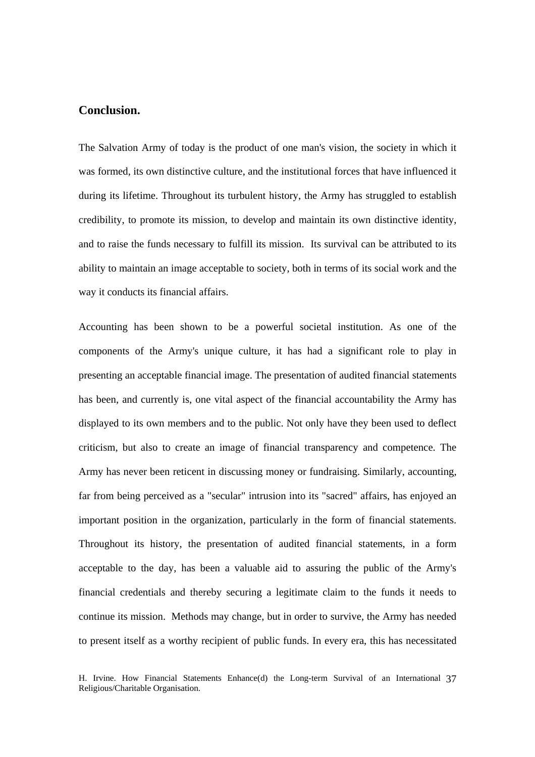# **Conclusion.**

The Salvation Army of today is the product of one man's vision, the society in which it was formed, its own distinctive culture, and the institutional forces that have influenced it during its lifetime. Throughout its turbulent history, the Army has struggled to establish credibility, to promote its mission, to develop and maintain its own distinctive identity, and to raise the funds necessary to fulfill its mission. Its survival can be attributed to its ability to maintain an image acceptable to society, both in terms of its social work and the way it conducts its financial affairs.

Accounting has been shown to be a powerful societal institution. As one of the components of the Army's unique culture, it has had a significant role to play in presenting an acceptable financial image. The presentation of audited financial statements has been, and currently is, one vital aspect of the financial accountability the Army has displayed to its own members and to the public. Not only have they been used to deflect criticism, but also to create an image of financial transparency and competence. The Army has never been reticent in discussing money or fundraising. Similarly, accounting, far from being perceived as a "secular" intrusion into its "sacred" affairs, has enjoyed an important position in the organization, particularly in the form of financial statements. Throughout its history, the presentation of audited financial statements, in a form acceptable to the day, has been a valuable aid to assuring the public of the Army's financial credentials and thereby securing a legitimate claim to the funds it needs to continue its mission. Methods may change, but in order to survive, the Army has needed to present itself as a worthy recipient of public funds. In every era, this has necessitated

H. Irvine. How Financial Statements Enhance(d) the Long-term Survival of an International 37 Religious/Charitable Organisation.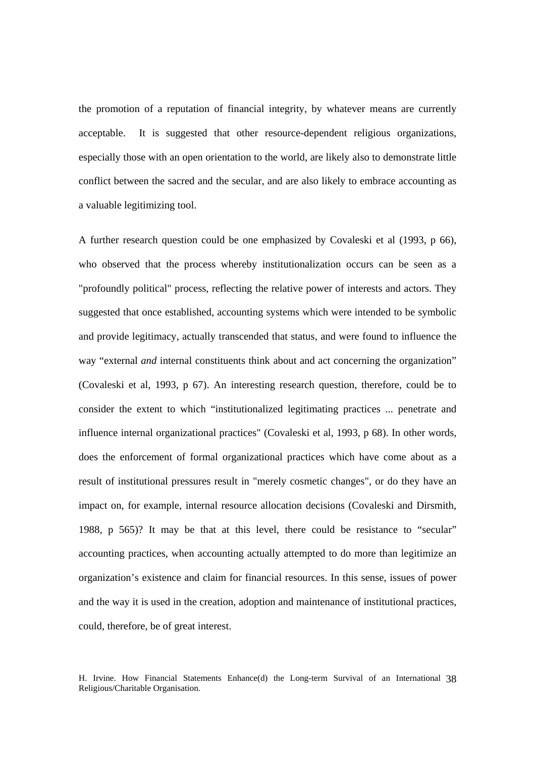the promotion of a reputation of financial integrity, by whatever means are currently acceptable. It is suggested that other resource-dependent religious organizations, especially those with an open orientation to the world, are likely also to demonstrate little conflict between the sacred and the secular, and are also likely to embrace accounting as a valuable legitimizing tool.

A further research question could be one emphasized by Covaleski et al (1993, p 66), who observed that the process whereby institutionalization occurs can be seen as a "profoundly political" process, reflecting the relative power of interests and actors. They suggested that once established, accounting systems which were intended to be symbolic and provide legitimacy, actually transcended that status, and were found to influence the way "external *and* internal constituents think about and act concerning the organization" (Covaleski et al, 1993, p 67). An interesting research question, therefore, could be to consider the extent to which "institutionalized legitimating practices ... penetrate and influence internal organizational practices" (Covaleski et al, 1993, p 68). In other words, does the enforcement of formal organizational practices which have come about as a result of institutional pressures result in "merely cosmetic changes", or do they have an impact on, for example, internal resource allocation decisions (Covaleski and Dirsmith, 1988, p 565)? It may be that at this level, there could be resistance to "secular" accounting practices, when accounting actually attempted to do more than legitimize an organization's existence and claim for financial resources. In this sense, issues of power and the way it is used in the creation, adoption and maintenance of institutional practices, could, therefore, be of great interest.

H. Irvine. How Financial Statements Enhance(d) the Long-term Survival of an International 38 Religious/Charitable Organisation.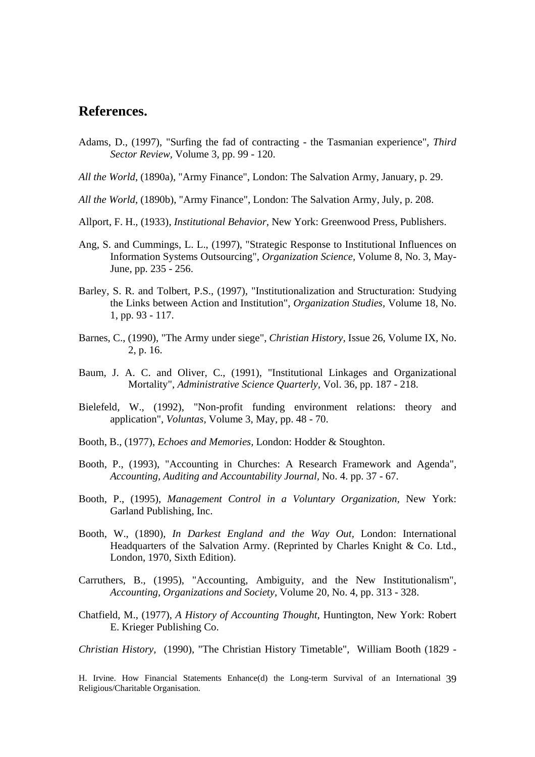# **References.**

- Adams, D., (1997), "Surfing the fad of contracting the Tasmanian experience", *Third Sector Review,* Volume 3, pp. 99 - 120.
- *All the World*, (1890a), "Army Finance", London: The Salvation Army, January, p. 29.
- *All the World*, (1890b), "Army Finance", London: The Salvation Army, July, p. 208.
- Allport, F. H., (1933), *Institutional Behavior,* New York: Greenwood Press, Publishers.
- Ang, S. and Cummings, L. L., (1997), "Strategic Response to Institutional Influences on Information Systems Outsourcing", *Organization Science,* Volume 8, No. 3, May-June, pp. 235 - 256.
- Barley, S. R. and Tolbert, P.S., (1997), "Institutionalization and Structuration: Studying the Links between Action and Institution", *Organization Studies,* Volume 18, No. 1, pp. 93 - 117.
- Barnes, C., (1990), "The Army under siege", *Christian History,* Issue 26, Volume IX, No. 2, p. 16.
- Baum, J. A. C. and Oliver, C., (1991), "Institutional Linkages and Organizational Mortality", *Administrative Science Quarterly,* Vol. 36, pp. 187 - 218.
- Bielefeld, W., (1992), "Non-profit funding environment relations: theory and application", *Voluntas,* Volume 3, May, pp. 48 - 70.
- Booth, B., (1977), *Echoes and Memories,* London: Hodder & Stoughton.
- Booth, P., (1993), "Accounting in Churches: A Research Framework and Agenda", *Accounting, Auditing and Accountability Journal,* No. 4. pp. 37 - 67.
- Booth, P., (1995), *Management Control in a Voluntary Organization,* New York: Garland Publishing, Inc.
- Booth, W., (1890), *In Darkest England and the Way Out,* London: International Headquarters of the Salvation Army. (Reprinted by Charles Knight & Co. Ltd., London, 1970, Sixth Edition).
- Carruthers, B., (1995), "Accounting, Ambiguity, and the New Institutionalism", *Accounting, Organizations and Society,* Volume 20, No. 4, pp. 313 - 328.
- Chatfield, M., (1977), *A History of Accounting Thought,* Huntington, New York: Robert E. Krieger Publishing Co.

*Christian History,* (1990), "The Christian History Timetable", William Booth (1829 -

H. Irvine. How Financial Statements Enhance(d) the Long-term Survival of an International 39 Religious/Charitable Organisation.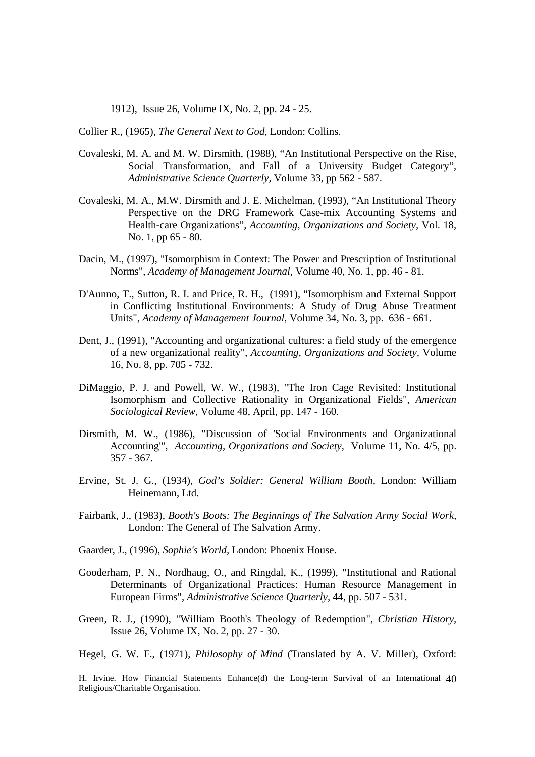1912), Issue 26, Volume IX, No. 2, pp. 24 - 25.

Collier R., (1965), *The General Next to God,* London: Collins.

- Covaleski, M. A. and M. W. Dirsmith, (1988), "An Institutional Perspective on the Rise, Social Transformation, and Fall of a University Budget Category", *Administrative Science Quarterly,* Volume 33, pp 562 - 587.
- Covaleski, M. A., M.W. Dirsmith and J. E. Michelman, (1993), "An Institutional Theory Perspective on the DRG Framework Case-mix Accounting Systems and Health-care Organizations", *Accounting, Organizations and Society,* Vol. 18, No. 1, pp 65 - 80.
- Dacin, M., (1997), "Isomorphism in Context: The Power and Prescription of Institutional Norms", *Academy of Management Journal,* Volume 40, No. 1, pp. 46 - 81.
- D'Aunno, T., Sutton, R. I. and Price, R. H., (1991), "Isomorphism and External Support in Conflicting Institutional Environments: A Study of Drug Abuse Treatment Units", *Academy of Management Journal,* Volume 34, No. 3, pp. 636 - 661.
- Dent, J., (1991), "Accounting and organizational cultures: a field study of the emergence of a new organizational reality", *Accounting, Organizations and Society,* Volume 16, No. 8, pp. 705 - 732.
- DiMaggio, P. J. and Powell, W. W., (1983), "The Iron Cage Revisited: Institutional Isomorphism and Collective Rationality in Organizational Fields", *American Sociological Review,* Volume 48, April, pp. 147 - 160.
- Dirsmith, M. W., (1986), "Discussion of 'Social Environments and Organizational Accounting'", *Accounting, Organizations and Society,* Volume 11, No. 4/5, pp. 357 - 367.
- Ervine, St. J. G., (1934), *God's Soldier: General William Booth,* London: William Heinemann, Ltd.
- Fairbank, J., (1983), *Booth's Boots: The Beginnings of The Salvation Army Social Work,*  London: The General of The Salvation Army.
- Gaarder, J., (1996), *Sophie's World,* London: Phoenix House.
- Gooderham, P. N., Nordhaug, O., and Ringdal, K., (1999), "Institutional and Rational Determinants of Organizational Practices: Human Resource Management in European Firms", *Administrative Science Quarterly,* 44, pp. 507 - 531.
- Green, R. J., (1990), "William Booth's Theology of Redemption", *Christian History,*  Issue 26, Volume IX, No. 2, pp. 27 - 30.

Hegel, G. W. F., (1971), *Philosophy of Mind* (Translated by A. V. Miller), Oxford:

H. Irvine. How Financial Statements Enhance(d) the Long-term Survival of an International 40 Religious/Charitable Organisation.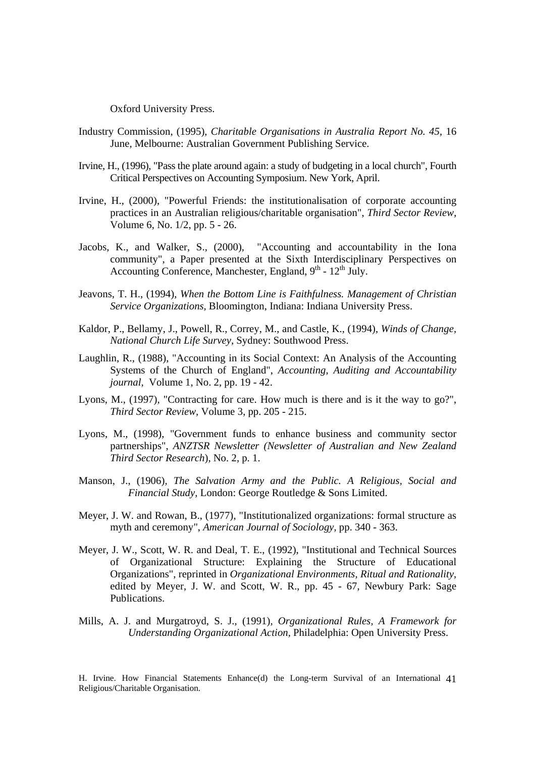Oxford University Press.

- Industry Commission, (1995), *Charitable Organisations in Australia Report No. 45,* 16 June, Melbourne: Australian Government Publishing Service.
- Irvine, H., (1996), "Pass the plate around again: a study of budgeting in a local church", Fourth Critical Perspectives on Accounting Symposium. New York, April.
- Irvine, H., (2000), "Powerful Friends: the institutionalisation of corporate accounting practices in an Australian religious/charitable organisation", *Third Sector Review*, Volume 6, No. 1/2, pp. 5 - 26.
- Jacobs, K., and Walker, S., (2000), "Accounting and accountability in the Iona community", a Paper presented at the Sixth Interdisciplinary Perspectives on Accounting Conference, Manchester, England,  $9<sup>th</sup>$  -  $12<sup>th</sup>$  July.
- Jeavons, T. H., (1994), *When the Bottom Line is Faithfulness. Management of Christian Service Organizations,* Bloomington, Indiana: Indiana University Press.
- Kaldor, P., Bellamy, J., Powell, R., Correy, M., and Castle, K., (1994), *Winds of Change, National Church Life Survey,* Sydney: Southwood Press.
- Laughlin, R., (1988), "Accounting in its Social Context: An Analysis of the Accounting Systems of the Church of England", *Accounting, Auditing and Accountability journal,* Volume 1, No. 2, pp. 19 - 42.
- Lyons, M., (1997), "Contracting for care. How much is there and is it the way to go?", *Third Sector Review,* Volume 3, pp. 205 - 215.
- Lyons, M., (1998), "Government funds to enhance business and community sector partnerships", *ANZTSR Newsletter (Newsletter of Australian and New Zealand Third Sector Research*), No. 2, p. 1.
- Manson, J., (1906), *The Salvation Army and the Public. A Religious, Social and Financial Study,* London: George Routledge & Sons Limited.
- Meyer, J. W. and Rowan, B., (1977), "Institutionalized organizations: formal structure as myth and ceremony", *American Journal of Sociology,* pp. 340 - 363.
- Meyer, J. W., Scott, W. R. and Deal, T. E., (1992), "Institutional and Technical Sources of Organizational Structure: Explaining the Structure of Educational Organizations", reprinted in *Organizational Environments, Ritual and Rationality,*  edited by Meyer, J. W. and Scott, W. R., pp. 45 - 67, Newbury Park: Sage Publications.
- Mills, A. J. and Murgatroyd, S. J., (1991), *Organizational Rules, A Framework for Understanding Organizational Action,* Philadelphia: Open University Press.

H. Irvine. How Financial Statements Enhance(d) the Long-term Survival of an International 41 Religious/Charitable Organisation.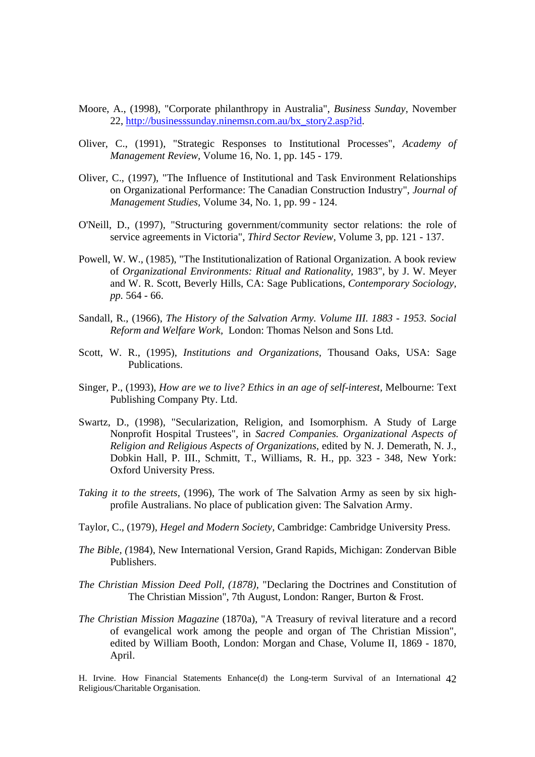- Moore, A., (1998), "Corporate philanthropy in Australia", *Business Sunday,* November 22, http://businesssunday.ninemsn.com.au/bx\_story2.asp?id.
- Oliver, C., (1991), "Strategic Responses to Institutional Processes", *Academy of Management Review,* Volume 16, No. 1, pp. 145 - 179.
- Oliver, C., (1997), "The Influence of Institutional and Task Environment Relationships on Organizational Performance: The Canadian Construction Industry", *Journal of Management Studies,* Volume 34, No. 1, pp. 99 - 124.
- O'Neill, D., (1997), "Structuring government/community sector relations: the role of service agreements in Victoria", *Third Sector Review,* Volume 3, pp. 121 - 137.
- Powell, W. W., (1985), "The Institutionalization of Rational Organization. A book review of *Organizational Environments: Ritual and Rationality,* 1983", by J. W. Meyer and W. R. Scott, Beverly Hills, CA: Sage Publications, *Contemporary Sociology, pp.* 564 - 66.
- Sandall, R., (1966), *The History of the Salvation Army. Volume III. 1883 1953. Social Reform and Welfare Work,* London: Thomas Nelson and Sons Ltd.
- Scott, W. R., (1995), *Institutions and Organizations,* Thousand Oaks, USA: Sage Publications.
- Singer, P., (1993), *How are we to live? Ethics in an age of self-interest,* Melbourne: Text Publishing Company Pty. Ltd.
- Swartz, D., (1998), "Secularization, Religion, and Isomorphism. A Study of Large Nonprofit Hospital Trustees", in *Sacred Companies. Organizational Aspects of Religion and Religious Aspects of Organizations,* edited by N. J. Demerath, N. J., Dobkin Hall, P. III., Schmitt, T., Williams, R. H., pp. 323 - 348, New York: Oxford University Press.
- *Taking it to the streets*, (1996), The work of The Salvation Army as seen by six highprofile Australians. No place of publication given: The Salvation Army.
- Taylor, C., (1979), *Hegel and Modern Society,* Cambridge: Cambridge University Press.
- *The Bible, (*1984), New International Version, Grand Rapids, Michigan: Zondervan Bible Publishers.
- *The Christian Mission Deed Poll, (1878),* "Declaring the Doctrines and Constitution of The Christian Mission", 7th August, London: Ranger, Burton & Frost.
- *The Christian Mission Magazine* (1870a), "A Treasury of revival literature and a record of evangelical work among the people and organ of The Christian Mission", edited by William Booth, London: Morgan and Chase, Volume II, 1869 - 1870, April.

H. Irvine. How Financial Statements Enhance(d) the Long-term Survival of an International 42 Religious/Charitable Organisation.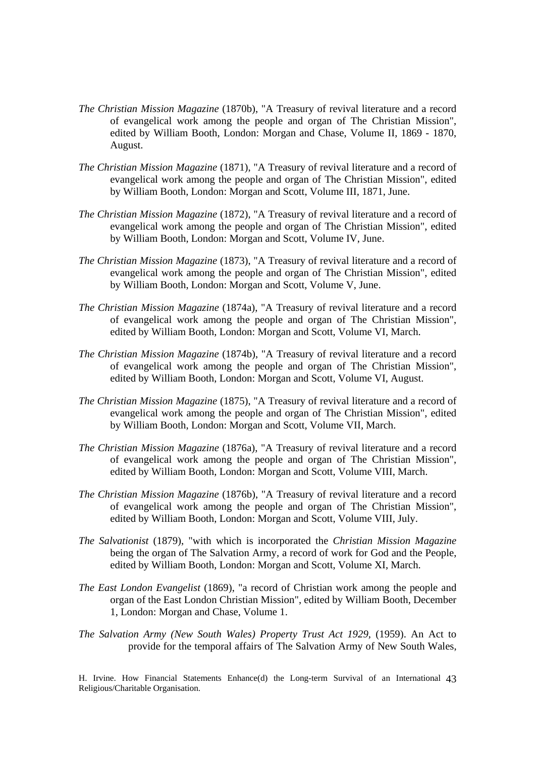- *The Christian Mission Magazine* (1870b), "A Treasury of revival literature and a record of evangelical work among the people and organ of The Christian Mission", edited by William Booth, London: Morgan and Chase, Volume II, 1869 - 1870, August.
- *The Christian Mission Magazine* (1871), "A Treasury of revival literature and a record of evangelical work among the people and organ of The Christian Mission", edited by William Booth, London: Morgan and Scott, Volume III, 1871, June.
- *The Christian Mission Magazine* (1872), "A Treasury of revival literature and a record of evangelical work among the people and organ of The Christian Mission", edited by William Booth, London: Morgan and Scott, Volume IV, June.
- *The Christian Mission Magazine* (1873), "A Treasury of revival literature and a record of evangelical work among the people and organ of The Christian Mission", edited by William Booth, London: Morgan and Scott, Volume V, June.
- *The Christian Mission Magazine* (1874a), "A Treasury of revival literature and a record of evangelical work among the people and organ of The Christian Mission", edited by William Booth, London: Morgan and Scott, Volume VI, March.
- *The Christian Mission Magazine* (1874b), "A Treasury of revival literature and a record of evangelical work among the people and organ of The Christian Mission", edited by William Booth, London: Morgan and Scott, Volume VI, August.
- *The Christian Mission Magazine* (1875), "A Treasury of revival literature and a record of evangelical work among the people and organ of The Christian Mission", edited by William Booth, London: Morgan and Scott, Volume VII, March.
- *The Christian Mission Magazine* (1876a), "A Treasury of revival literature and a record of evangelical work among the people and organ of The Christian Mission", edited by William Booth, London: Morgan and Scott, Volume VIII, March.
- *The Christian Mission Magazine* (1876b), "A Treasury of revival literature and a record of evangelical work among the people and organ of The Christian Mission", edited by William Booth, London: Morgan and Scott, Volume VIII, July.
- *The Salvationist* (1879), "with which is incorporated the *Christian Mission Magazine*  being the organ of The Salvation Army, a record of work for God and the People, edited by William Booth, London: Morgan and Scott, Volume XI, March.
- *The East London Evangelist* (1869), "a record of Christian work among the people and organ of the East London Christian Mission", edited by William Booth, December 1, London: Morgan and Chase, Volume 1.
- *The Salvation Army (New South Wales) Property Trust Act 1929,* (1959). An Act to provide for the temporal affairs of The Salvation Army of New South Wales,

H. Irvine. How Financial Statements Enhance(d) the Long-term Survival of an International 43 Religious/Charitable Organisation.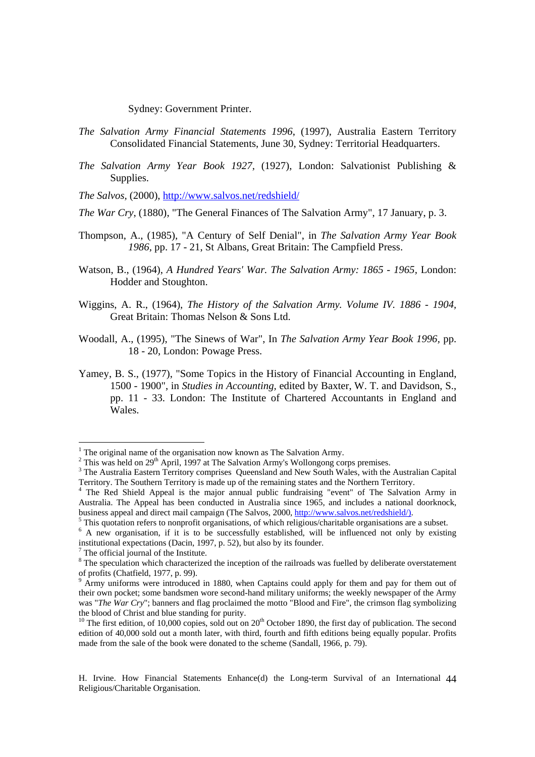Sydney: Government Printer.

- *The Salvation Army Financial Statements 1996*, (1997), Australia Eastern Territory Consolidated Financial Statements, June 30, Sydney: Territorial Headquarters.
- *The Salvation Army Year Book 1927,* (1927), London: Salvationist Publishing & Supplies.

*The Salvos,* (2000), http://www.salvos.net/redshield/

- *The War Cry*, (1880), "The General Finances of The Salvation Army", 17 January, p. 3.
- Thompson, A., (1985), "A Century of Self Denial", in *The Salvation Army Year Book 1986,* pp. 17 - 21, St Albans, Great Britain: The Campfield Press.
- Watson, B., (1964), *A Hundred Years' War. The Salvation Army: 1865 1965,* London: Hodder and Stoughton.
- Wiggins, A. R., (1964), *The History of the Salvation Army. Volume IV. 1886 1904,*  Great Britain: Thomas Nelson & Sons Ltd.
- Woodall, A., (1995), "The Sinews of War", In *The Salvation Army Year Book 1996,* pp. 18 - 20, London: Powage Press.
- Yamey, B. S., (1977), "Some Topics in the History of Financial Accounting in England, 1500 - 1900", in *Studies in Accounting,* edited by Baxter, W. T. and Davidson, S., pp. 11 - 33. London: The Institute of Chartered Accountants in England and Wales.

H. Irvine. How Financial Statements Enhance(d) the Long-term Survival of an International 44 Religious/Charitable Organisation.

<sup>&</sup>lt;sup>1</sup> The original name of the organisation now known as The Salvation Army.

<sup>&</sup>lt;sup>2</sup> This was held on 29<sup>th</sup> April, 1997 at The Salvation Army's Wollongong corps premises.

<sup>&</sup>lt;sup>3</sup> The Australia Eastern Territory comprises Queensland and New South Wales, with the Australian Capital Territory. The Southern Territory is made up of the remaining states and the Northern Territory. 4 The Red Shield Appeal is the major annual public fundraising "event" of The Salvation Army in

Australia. The Appeal has been conducted in Australia since 1965, and includes a national doorknock, business appeal and direct mail campaign (The Salvos, 2000, http://www.salvos.net/redshield/).

<sup>&</sup>lt;sup>5</sup> This quotation refers to nonprofit organisations, of which religious/charitable organisations are a subset.

<sup>&</sup>lt;sup>6</sup> A new organisation, if it is to be successfully established, will be influenced not only by existing institutional expectations (Dacin, 1997, p. 52), but also by its founder.

 $7$  The official journal of the Institute.

 $8$  The speculation which characterized the inception of the railroads was fuelled by deliberate overstatement of profits (Chatfield, 1977, p. 99).<br><sup>9</sup> Army uniforms were introduced in 1880, when Captains could apply for them and pay for them out of

their own pocket; some bandsmen wore second-hand military uniforms; the weekly newspaper of the Army was "*The War Cry*"; banners and flag proclaimed the motto "Blood and Fire", the crimson flag symbolizing the blood of Christ and blue standing for purity.

<sup>&</sup>lt;sup>10</sup> The first edition, of 10,000 copies, sold out on  $20<sup>th</sup>$  October 1890, the first day of publication. The second edition of 40,000 sold out a month later, with third, fourth and fifth editions being equally popular. Profits made from the sale of the book were donated to the scheme (Sandall, 1966, p. 79).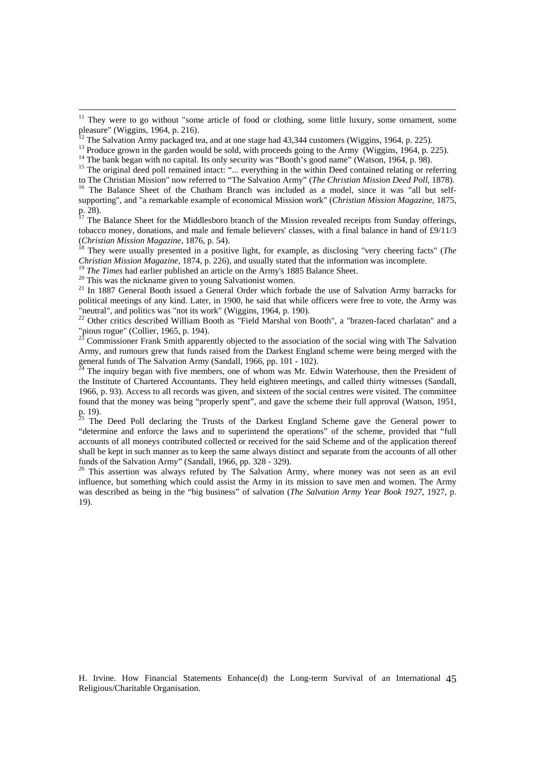<sup>14</sup> The bank began with no capital. Its only security was "Booth's good name" (Watson, 1964, p. 98).

 $17$  The Balance Sheet for the Middlesboro branch of the Mission revealed receipts from Sunday offerings, tobacco money, donations, and male and female believers' classes, with a final balance in hand of £9/11/3 (*Christian Mission Magazine*, 1876, p. 54).<br><sup>18</sup> They were usually presented in a positive light, for example, as disclosing "very cheering facts" (*The* 

*Christian Mission Magazine*, 1874, p. 226), and usually stated that the information was incomplete.<br><sup>19</sup> *The Times* had earlier published an article on the Army's 1885 Balance Sheet.<br><sup>20</sup> This was the nickname given to

<sup>21</sup> In 1887 General Booth issued a General Order which forbade the use of Salvation Army barracks for political meetings of any kind. Later, in 1900, he said that while officers were free to vote, the Army was "neutral", and politics was "not its work" (Wiggins, 1964, p. 190).

<sup>22</sup> Other critics described William Booth as "Field Marshal von Booth", a "brazen-faced charlatan" and a "pious rogue" (Collier, 1965, p. 194).

23 Commissioner Frank Smith apparently objected to the association of the social wing with The Salvation Army, and rumours grew that funds raised from the Darkest England scheme were being merged with the general funds of The Salvation Army (Sandall, 1966, pp. 101 - 102).

 $^{\tilde{2}4}$  The inquiry began with five members, one of whom was Mr. Edwin Waterhouse, then the President of the Institute of Chartered Accountants. They held eighteen meetings, and called thirty witnesses (Sandall, 1966, p. 93). Access to all records was given, and sixteen of the social centres were visited. The committee found that the money was being "properly spent", and gave the scheme their full approval (Watson, 1951, p. 19).<br> $^{25}$  The

25 The Deed Poll declaring the Trusts of the Darkest England Scheme gave the General power to "determine and enforce the laws and to superintend the operations" of the scheme, provided that "full accounts of all moneys contributed collected or received for the said Scheme and of the application thereof shall be kept in such manner as to keep the same always distinct and separate from the accounts of all other funds of the Salvation Army" (Sandall, 1966, pp. 328 - 329).

<sup>26</sup> This assertion was always refuted by The Salvation Army, where money was not seen as an evil influence, but something which could assist the Army in its mission to save men and women. The Army was described as being in the "big business" of salvation (*The Salvation Army Year Book 1927*, 1927, p. 19).

H. Irvine. How Financial Statements Enhance(d) the Long-term Survival of an International 45 Religious/Charitable Organisation.

<sup>&</sup>lt;sup>11</sup> They were to go without "some article of food or clothing, some little luxury, some ornament, some pleasure" (Wiggins, 1964, p. 216).

 $12$  The Salvation Army packaged tea, and at one stage had 43,344 customers (Wiggins, 1964, p. 225).

<sup>&</sup>lt;sup>13</sup> Produce grown in the garden would be sold, with proceeds going to the Army (Wiggins, 1964, p. 225).

<sup>&</sup>lt;sup>15</sup> The original deed poll remained intact: "... everything in the within Deed contained relating or referring

to The Christian Mission" now referred to "The Salvation Army" (*The Christian Mission Deed Poll*, 1878). <sup>16</sup> The Balance Sheet of the Chatham Branch was included as a model, since it was "all but selfsupporting", and "a remarkable example of economical Mission work" (*Christian Mission Magazine,* 1875, p. 28).